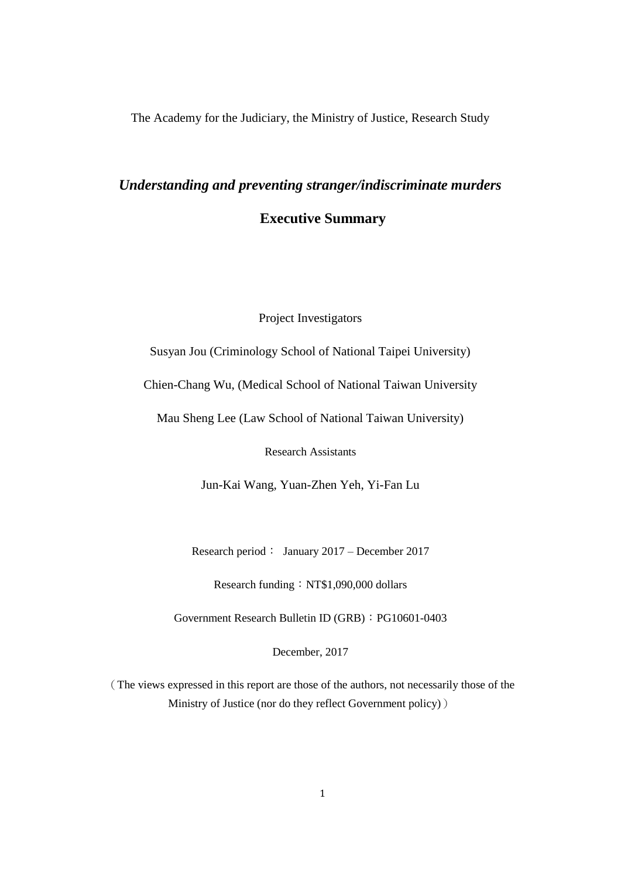The Academy for the Judiciary, the Ministry of Justice, Research Study

# *Understanding and preventing stranger/indiscriminate murders* **Executive Summary**

Project Investigators

Susyan Jou (Criminology School of National Taipei University)

Chien-Chang Wu, (Medical School of National Taiwan University

Mau Sheng Lee (Law School of National Taiwan University)

Research Assistants

Jun-Kai Wang, Yuan-Zhen Yeh, Yi-Fan Lu

Research period: January 2017 – December 2017

Research funding: NT\$1,090,000 dollars

Government Research Bulletin ID (GRB): PG10601-0403

December, 2017

(The views expressed in this report are those of the authors, not necessarily those of the Ministry of Justice (nor do they reflect Government policy))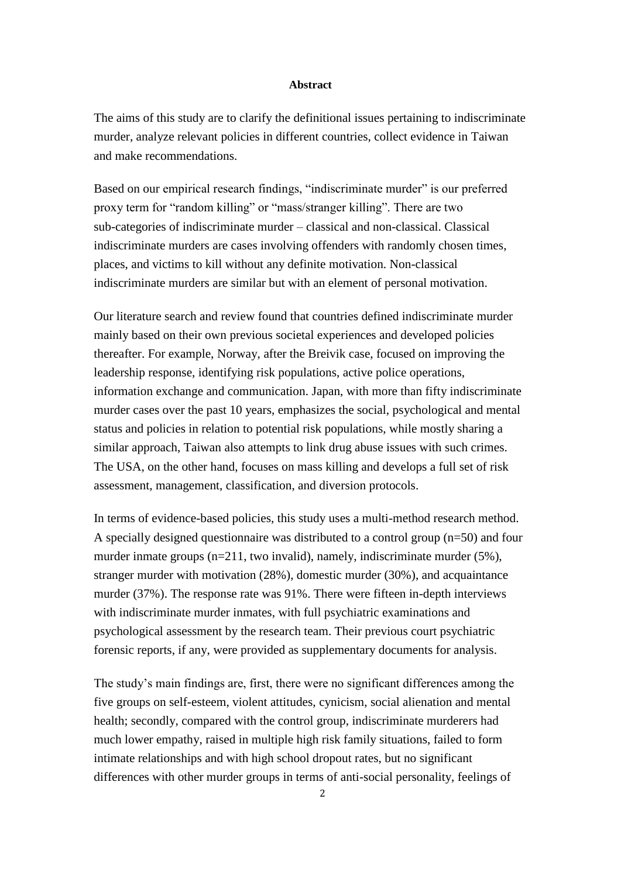#### **Abstract**

The aims of this study are to clarify the definitional issues pertaining to indiscriminate murder, analyze relevant policies in different countries, collect evidence in Taiwan and make recommendations.

Based on our empirical research findings, "indiscriminate murder" is our preferred proxy term for "random killing" or "mass/stranger killing". There are two sub-categories of indiscriminate murder – classical and non-classical. Classical indiscriminate murders are cases involving offenders with randomly chosen times, places, and victims to kill without any definite motivation. Non-classical indiscriminate murders are similar but with an element of personal motivation.

Our literature search and review found that countries defined indiscriminate murder mainly based on their own previous societal experiences and developed policies thereafter. For example, Norway, after the Breivik case, focused on improving the leadership response, identifying risk populations, active police operations, information exchange and communication. Japan, with more than fifty indiscriminate murder cases over the past 10 years, emphasizes the social, psychological and mental status and policies in relation to potential risk populations, while mostly sharing a similar approach, Taiwan also attempts to link drug abuse issues with such crimes. The USA, on the other hand, focuses on mass killing and develops a full set of risk assessment, management, classification, and diversion protocols.

In terms of evidence-based policies, this study uses a multi-method research method. A specially designed questionnaire was distributed to a control group (n=50) and four murder inmate groups (n=211, two invalid), namely, indiscriminate murder (5%), stranger murder with motivation (28%), domestic murder (30%), and acquaintance murder (37%). The response rate was 91%. There were fifteen in-depth interviews with indiscriminate murder inmates, with full psychiatric examinations and psychological assessment by the research team. Their previous court psychiatric forensic reports, if any, were provided as supplementary documents for analysis.

The study's main findings are, first, there were no significant differences among the five groups on self-esteem, violent attitudes, cynicism, social alienation and mental health; secondly, compared with the control group, indiscriminate murderers had much lower empathy, raised in multiple high risk family situations, failed to form intimate relationships and with high school dropout rates, but no significant differences with other murder groups in terms of anti-social personality, feelings of

2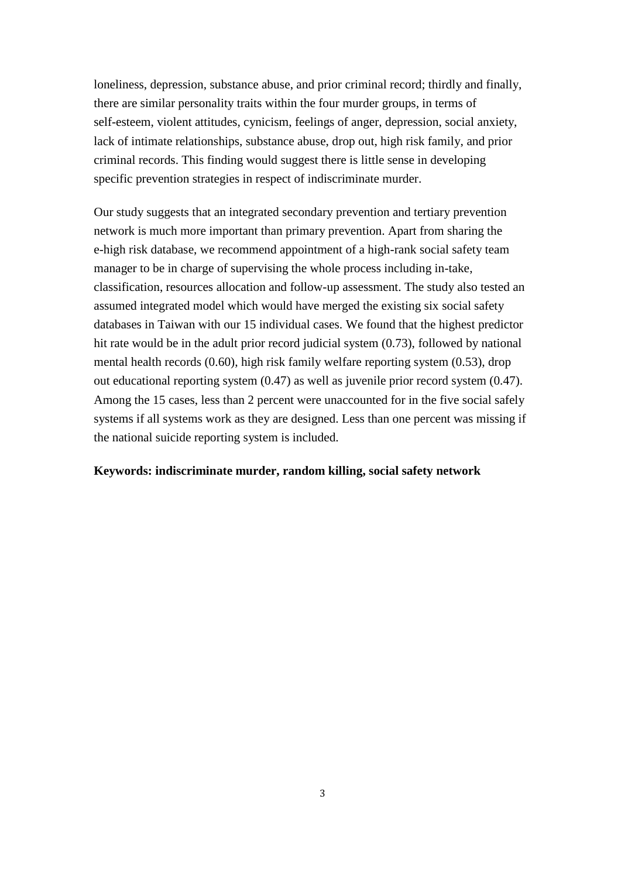loneliness, depression, substance abuse, and prior criminal record; thirdly and finally, there are similar personality traits within the four murder groups, in terms of self-esteem, violent attitudes, cynicism, feelings of anger, depression, social anxiety, lack of intimate relationships, substance abuse, drop out, high risk family, and prior criminal records. This finding would suggest there is little sense in developing specific prevention strategies in respect of indiscriminate murder.

Our study suggests that an integrated secondary prevention and tertiary prevention network is much more important than primary prevention. Apart from sharing the e-high risk database, we recommend appointment of a high-rank social safety team manager to be in charge of supervising the whole process including in-take, classification, resources allocation and follow-up assessment. The study also tested an assumed integrated model which would have merged the existing six social safety databases in Taiwan with our 15 individual cases. We found that the highest predictor hit rate would be in the adult prior record judicial system (0.73), followed by national mental health records (0.60), high risk family welfare reporting system (0.53), drop out educational reporting system (0.47) as well as juvenile prior record system (0.47). Among the 15 cases, less than 2 percent were unaccounted for in the five social safely systems if all systems work as they are designed. Less than one percent was missing if the national suicide reporting system is included.

# **Keywords: indiscriminate murder, random killing, social safety network**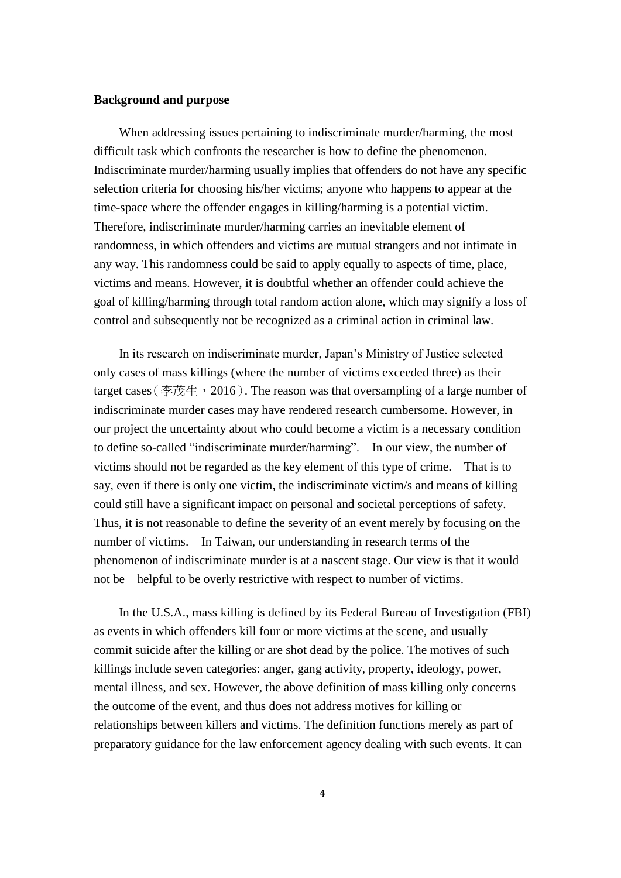## **Background and purpose**

When addressing issues pertaining to indiscriminate murder/harming, the most difficult task which confronts the researcher is how to define the phenomenon. Indiscriminate murder/harming usually implies that offenders do not have any specific selection criteria for choosing his/her victims; anyone who happens to appear at the time-space where the offender engages in killing/harming is a potential victim. Therefore, indiscriminate murder/harming carries an inevitable element of randomness, in which offenders and victims are mutual strangers and not intimate in any way. This randomness could be said to apply equally to aspects of time, place, victims and means. However, it is doubtful whether an offender could achieve the goal of killing/harming through total random action alone, which may signify a loss of control and subsequently not be recognized as a criminal action in criminal law.

In its research on indiscriminate murder, Japan's Ministry of Justice selected only cases of mass killings (where the number of victims exceeded three) as their target cases (李茂生, 2016). The reason was that oversampling of a large number of indiscriminate murder cases may have rendered research cumbersome. However, in our project the uncertainty about who could become a victim is a necessary condition to define so-called "indiscriminate murder/harming". In our view, the number of victims should not be regarded as the key element of this type of crime. That is to say, even if there is only one victim, the indiscriminate victim/s and means of killing could still have a significant impact on personal and societal perceptions of safety. Thus, it is not reasonable to define the severity of an event merely by focusing on the number of victims. In Taiwan, our understanding in research terms of the phenomenon of indiscriminate murder is at a nascent stage. Our view is that it would not be helpful to be overly restrictive with respect to number of victims.

In the U.S.A., mass killing is defined by its Federal Bureau of Investigation (FBI) as events in which offenders kill four or more victims at the scene, and usually commit suicide after the killing or are shot dead by the police. The motives of such killings include seven categories: anger, gang activity, property, ideology, power, mental illness, and sex. However, the above definition of mass killing only concerns the outcome of the event, and thus does not address motives for killing or relationships between killers and victims. The definition functions merely as part of preparatory guidance for the law enforcement agency dealing with such events. It can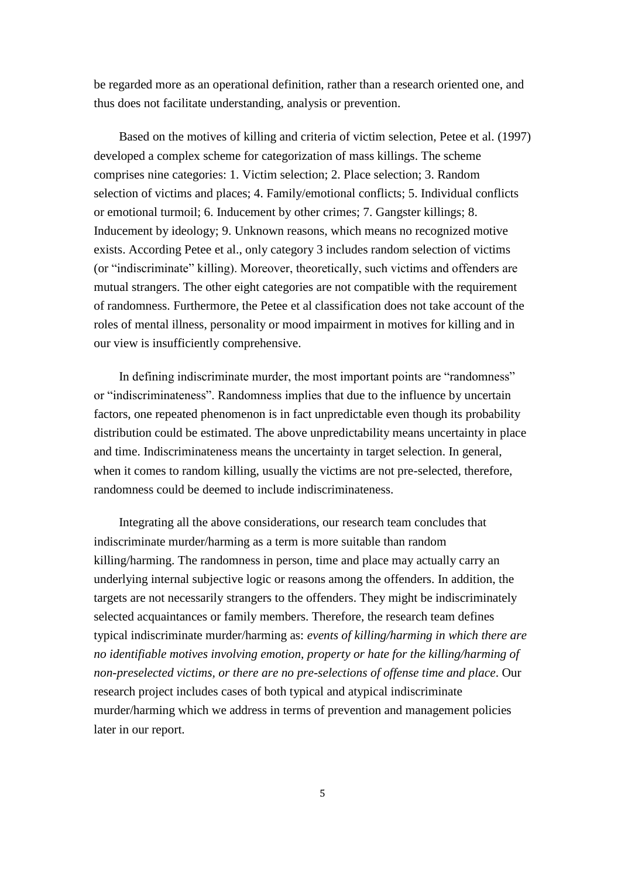be regarded more as an operational definition, rather than a research oriented one, and thus does not facilitate understanding, analysis or prevention.

Based on the motives of killing and criteria of victim selection, Petee et al. (1997) developed a complex scheme for categorization of mass killings. The scheme comprises nine categories: 1. Victim selection; 2. Place selection; 3. Random selection of victims and places; 4. Family/emotional conflicts; 5. Individual conflicts or emotional turmoil; 6. Inducement by other crimes; 7. Gangster killings; 8. Inducement by ideology; 9. Unknown reasons, which means no recognized motive exists. According Petee et al., only category 3 includes random selection of victims (or "indiscriminate" killing). Moreover, theoretically, such victims and offenders are mutual strangers. The other eight categories are not compatible with the requirement of randomness. Furthermore, the Petee et al classification does not take account of the roles of mental illness, personality or mood impairment in motives for killing and in our view is insufficiently comprehensive.

In defining indiscriminate murder, the most important points are "randomness" or "indiscriminateness". Randomness implies that due to the influence by uncertain factors, one repeated phenomenon is in fact unpredictable even though its probability distribution could be estimated. The above unpredictability means uncertainty in place and time. Indiscriminateness means the uncertainty in target selection. In general, when it comes to random killing, usually the victims are not pre-selected, therefore, randomness could be deemed to include indiscriminateness.

Integrating all the above considerations, our research team concludes that indiscriminate murder/harming as a term is more suitable than random killing/harming. The randomness in person, time and place may actually carry an underlying internal subjective logic or reasons among the offenders. In addition, the targets are not necessarily strangers to the offenders. They might be indiscriminately selected acquaintances or family members. Therefore, the research team defines typical indiscriminate murder/harming as: *events of killing/harming in which there are no identifiable motives involving emotion, property or hate for the killing/harming of non-preselected victims, or there are no pre-selections of offense time and place*. Our research project includes cases of both typical and atypical indiscriminate murder/harming which we address in terms of prevention and management policies later in our report.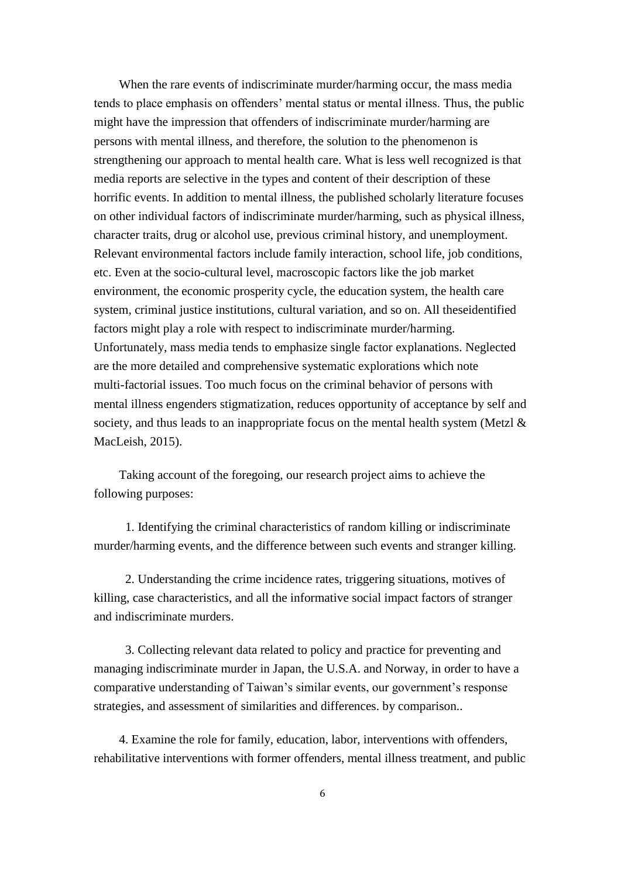When the rare events of indiscriminate murder/harming occur, the mass media tends to place emphasis on offenders' mental status or mental illness. Thus, the public might have the impression that offenders of indiscriminate murder/harming are persons with mental illness, and therefore, the solution to the phenomenon is strengthening our approach to mental health care. What is less well recognized is that media reports are selective in the types and content of their description of these horrific events. In addition to mental illness, the published scholarly literature focuses on other individual factors of indiscriminate murder/harming, such as physical illness, character traits, drug or alcohol use, previous criminal history, and unemployment. Relevant environmental factors include family interaction, school life, job conditions, etc. Even at the socio-cultural level, macroscopic factors like the job market environment, the economic prosperity cycle, the education system, the health care system, criminal justice institutions, cultural variation, and so on. All theseidentified factors might play a role with respect to indiscriminate murder/harming. Unfortunately, mass media tends to emphasize single factor explanations. Neglected are the more detailed and comprehensive systematic explorations which note multi-factorial issues. Too much focus on the criminal behavior of persons with mental illness engenders stigmatization, reduces opportunity of acceptance by self and society, and thus leads to an inappropriate focus on the mental health system (Metzl & MacLeish, 2015).

Taking account of the foregoing, our research project aims to achieve the following purposes:

1. Identifying the criminal characteristics of random killing or indiscriminate murder/harming events, and the difference between such events and stranger killing.

2. Understanding the crime incidence rates, triggering situations, motives of killing, case characteristics, and all the informative social impact factors of stranger and indiscriminate murders.

3. Collecting relevant data related to policy and practice for preventing and managing indiscriminate murder in Japan, the U.S.A. and Norway, in order to have a comparative understanding of Taiwan's similar events, our government's response strategies, and assessment of similarities and differences. by comparison..

4. Examine the role for family, education, labor, interventions with offenders, rehabilitative interventions with former offenders, mental illness treatment, and public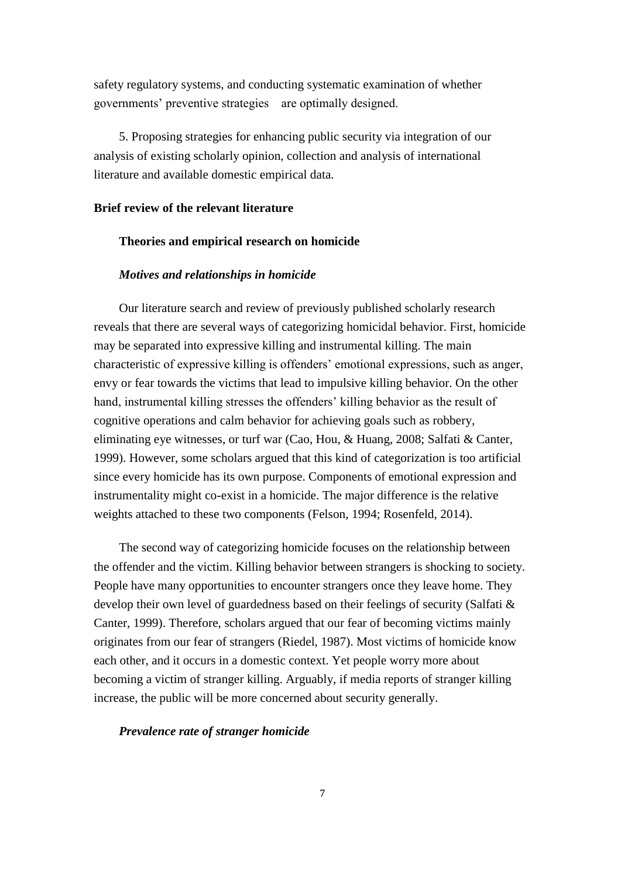safety regulatory systems, and conducting systematic examination of whether governments' preventive strategies are optimally designed.

5. Proposing strategies for enhancing public security via integration of our analysis of existing scholarly opinion, collection and analysis of international literature and available domestic empirical data.

#### **Brief review of the relevant literature**

# **Theories and empirical research on homicide**

#### *Motives and relationships in homicide*

Our literature search and review of previously published scholarly research reveals that there are several ways of categorizing homicidal behavior. First, homicide may be separated into expressive killing and instrumental killing. The main characteristic of expressive killing is offenders' emotional expressions, such as anger, envy or fear towards the victims that lead to impulsive killing behavior. On the other hand, instrumental killing stresses the offenders' killing behavior as the result of cognitive operations and calm behavior for achieving goals such as robbery, eliminating eye witnesses, or turf war (Cao, Hou, & Huang, 2008; Salfati & Canter, 1999). However, some scholars argued that this kind of categorization is too artificial since every homicide has its own purpose. Components of emotional expression and instrumentality might co-exist in a homicide. The major difference is the relative weights attached to these two components (Felson, 1994; Rosenfeld, 2014).

The second way of categorizing homicide focuses on the relationship between the offender and the victim. Killing behavior between strangers is shocking to society. People have many opportunities to encounter strangers once they leave home. They develop their own level of guardedness based on their feelings of security (Salfati & Canter, 1999). Therefore, scholars argued that our fear of becoming victims mainly originates from our fear of strangers (Riedel, 1987). Most victims of homicide know each other, and it occurs in a domestic context. Yet people worry more about becoming a victim of stranger killing. Arguably, if media reports of stranger killing increase, the public will be more concerned about security generally.

#### *Prevalence rate of stranger homicide*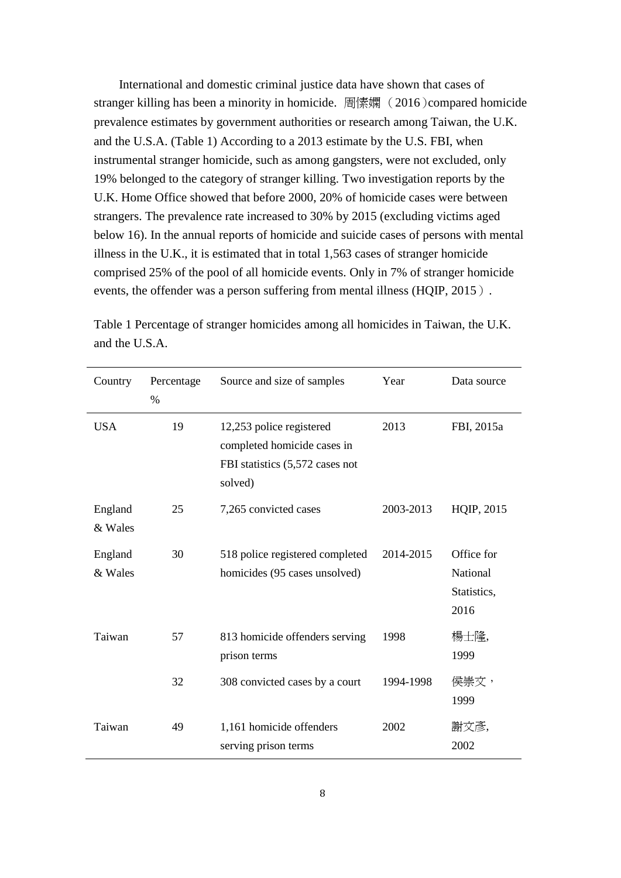International and domestic criminal justice data have shown that cases of stranger killing has been a minority in homicide. 周愫嫻 (2016)compared homicide prevalence estimates by government authorities or research among Taiwan, the U.K. and the U.S.A. (Table 1) According to a 2013 estimate by the U.S. FBI, when instrumental stranger homicide, such as among gangsters, were not excluded, only 19% belonged to the category of stranger killing. Two investigation reports by the U.K. Home Office showed that before 2000, 20% of homicide cases were between strangers. The prevalence rate increased to 30% by 2015 (excluding victims aged below 16). In the annual reports of homicide and suicide cases of persons with mental illness in the U.K., it is estimated that in total 1,563 cases of stranger homicide comprised 25% of the pool of all homicide events. Only in 7% of stranger homicide events, the offender was a person suffering from mental illness (HQIP, 2015).

| Country            | Percentage<br>% | Source and size of samples                                                                            | Year      | Data source                                   |
|--------------------|-----------------|-------------------------------------------------------------------------------------------------------|-----------|-----------------------------------------------|
| <b>USA</b>         | 19              | 12,253 police registered<br>completed homicide cases in<br>FBI statistics (5,572 cases not<br>solved) | 2013      | FBI, 2015a                                    |
| England<br>& Wales | 25              | 7,265 convicted cases                                                                                 | 2003-2013 | HQIP, 2015                                    |
| England<br>& Wales | 30              | 518 police registered completed<br>homicides (95 cases unsolved)                                      | 2014-2015 | Office for<br>National<br>Statistics,<br>2016 |
| Taiwan             | 57              | 813 homicide offenders serving<br>prison terms                                                        | 1998      | 楊士隆,<br>1999                                  |
|                    | 32              | 308 convicted cases by a court                                                                        | 1994-1998 | 侯崇文,<br>1999                                  |
| Taiwan             | 49              | 1,161 homicide offenders<br>serving prison terms                                                      | 2002      | 謝文彥,<br>2002                                  |

Table 1 Percentage of stranger homicides among all homicides in Taiwan, the U.K. and the U.S.A.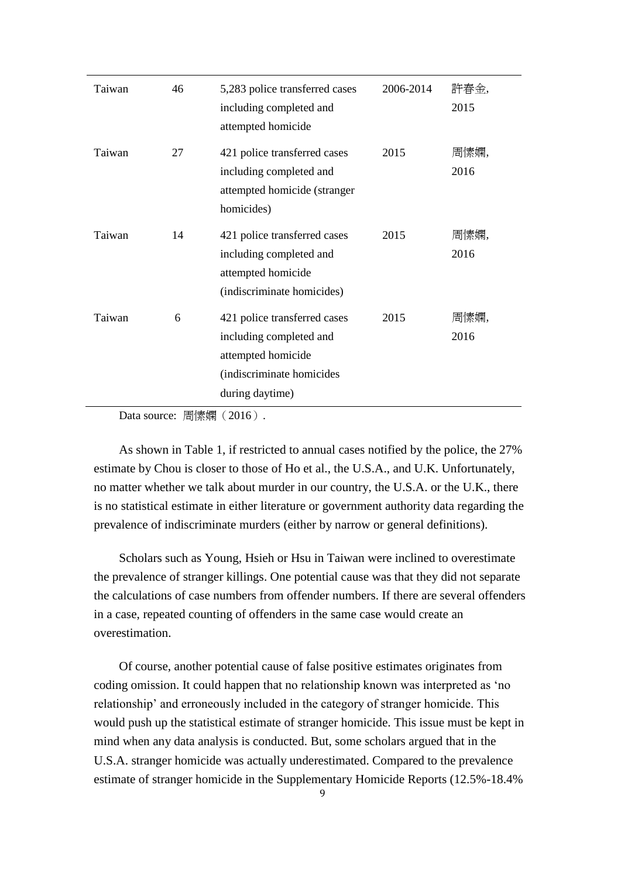| Taiwan | 46 | 5,283 police transferred cases<br>including completed and<br>attempted homicide                                               | 2006-2014 | 許春金,<br>2015 |
|--------|----|-------------------------------------------------------------------------------------------------------------------------------|-----------|--------------|
| Taiwan | 27 | 421 police transferred cases<br>including completed and<br>attempted homicide (stranger<br>homicides)                         | 2015      | 周愫嫻,<br>2016 |
| Taiwan | 14 | 421 police transferred cases<br>including completed and<br>attempted homicide<br>(indiscriminate homicides)                   | 2015      | 周愫嫻,<br>2016 |
| Taiwan | 6  | 421 police transferred cases<br>including completed and<br>attempted homicide<br>(indiscriminate homicides<br>during daytime) | 2015      | 周愫嫻,<br>2016 |

Data source: 周愫嫻(2016).

As shown in Table 1, if restricted to annual cases notified by the police, the 27% estimate by Chou is closer to those of Ho et al., the U.S.A., and U.K. Unfortunately, no matter whether we talk about murder in our country, the U.S.A. or the U.K., there is no statistical estimate in either literature or government authority data regarding the prevalence of indiscriminate murders (either by narrow or general definitions).

Scholars such as Young, Hsieh or Hsu in Taiwan were inclined to overestimate the prevalence of stranger killings. One potential cause was that they did not separate the calculations of case numbers from offender numbers. If there are several offenders in a case, repeated counting of offenders in the same case would create an overestimation.

Of course, another potential cause of false positive estimates originates from coding omission. It could happen that no relationship known was interpreted as 'no relationship' and erroneously included in the category of stranger homicide. This would push up the statistical estimate of stranger homicide. This issue must be kept in mind when any data analysis is conducted. But, some scholars argued that in the U.S.A. stranger homicide was actually underestimated. Compared to the prevalence estimate of stranger homicide in the Supplementary Homicide Reports (12.5%-18.4%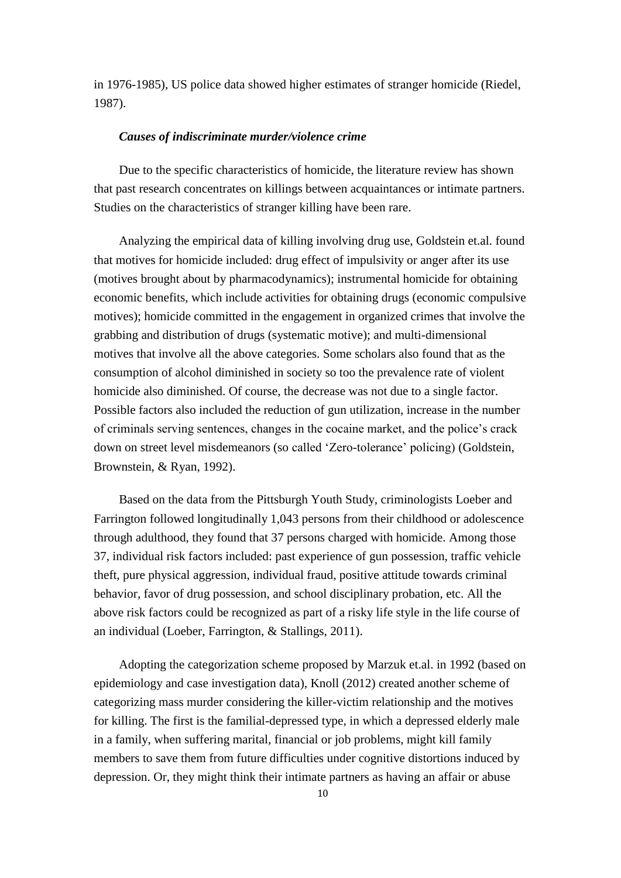in 1976-1985), US police data showed higher estimates of stranger homicide (Riedel, 1987).

#### *Causes of indiscriminate murder/violence crime*

Due to the specific characteristics of homicide, the literature review has shown that past research concentrates on killings between acquaintances or intimate partners. Studies on the characteristics of stranger killing have been rare.

Analyzing the empirical data of killing involving drug use, Goldstein et.al. found that motives for homicide included: drug effect of impulsivity or anger after its use (motives brought about by pharmacodynamics); instrumental homicide for obtaining economic benefits, which include activities for obtaining drugs (economic compulsive motives); homicide committed in the engagement in organized crimes that involve the grabbing and distribution of drugs (systematic motive); and multi-dimensional motives that involve all the above categories. Some scholars also found that as the consumption of alcohol diminished in society so too the prevalence rate of violent homicide also diminished. Of course, the decrease was not due to a single factor. Possible factors also included the reduction of gun utilization, increase in the number of criminals serving sentences, changes in the cocaine market, and the police's crack down on street level misdemeanors (so called 'Zero-tolerance' policing) (Goldstein, Brownstein, & Ryan, 1992).

Based on the data from the Pittsburgh Youth Study, criminologists Loeber and Farrington followed longitudinally 1,043 persons from their childhood or adolescence through adulthood, they found that 37 persons charged with homicide. Among those 37, individual risk factors included: past experience of gun possession, traffic vehicle theft, pure physical aggression, individual fraud, positive attitude towards criminal behavior, favor of drug possession, and school disciplinary probation, etc. All the above risk factors could be recognized as part of a risky life style in the life course of an individual (Loeber, Farrington, & Stallings, 2011).

Adopting the categorization scheme proposed by Marzuk et.al. in 1992 (based on epidemiology and case investigation data), Knoll (2012) created another scheme of categorizing mass murder considering the killer-victim relationship and the motives for killing. The first is the familial-depressed type, in which a depressed elderly male in a family, when suffering marital, financial or job problems, might kill family members to save them from future difficulties under cognitive distortions induced by depression. Or, they might think their intimate partners as having an affair or abuse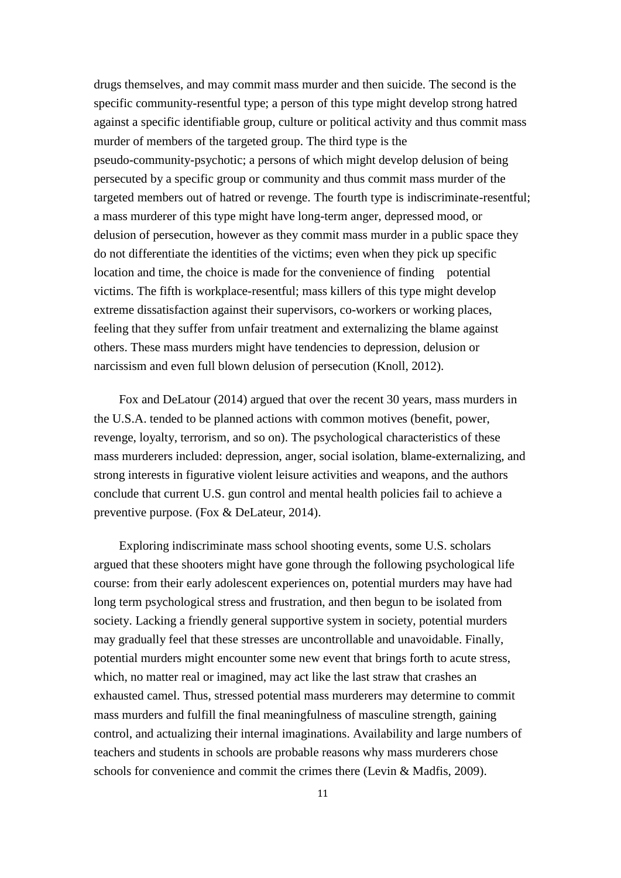drugs themselves, and may commit mass murder and then suicide. The second is the specific community-resentful type; a person of this type might develop strong hatred against a specific identifiable group, culture or political activity and thus commit mass murder of members of the targeted group. The third type is the pseudo-community-psychotic; a persons of which might develop delusion of being persecuted by a specific group or community and thus commit mass murder of the targeted members out of hatred or revenge. The fourth type is indiscriminate-resentful; a mass murderer of this type might have long-term anger, depressed mood, or delusion of persecution, however as they commit mass murder in a public space they do not differentiate the identities of the victims; even when they pick up specific location and time, the choice is made for the convenience of finding potential victims. The fifth is workplace-resentful; mass killers of this type might develop extreme dissatisfaction against their supervisors, co-workers or working places, feeling that they suffer from unfair treatment and externalizing the blame against others. These mass murders might have tendencies to depression, delusion or narcissism and even full blown delusion of persecution (Knoll, 2012).

Fox and DeLatour (2014) argued that over the recent 30 years, mass murders in the U.S.A. tended to be planned actions with common motives (benefit, power, revenge, loyalty, terrorism, and so on). The psychological characteristics of these mass murderers included: depression, anger, social isolation, blame-externalizing, and strong interests in figurative violent leisure activities and weapons, and the authors conclude that current U.S. gun control and mental health policies fail to achieve a preventive purpose. (Fox & DeLateur, 2014).

Exploring indiscriminate mass school shooting events, some U.S. scholars argued that these shooters might have gone through the following psychological life course: from their early adolescent experiences on, potential murders may have had long term psychological stress and frustration, and then begun to be isolated from society. Lacking a friendly general supportive system in society, potential murders may gradually feel that these stresses are uncontrollable and unavoidable. Finally, potential murders might encounter some new event that brings forth to acute stress, which, no matter real or imagined, may act like the last straw that crashes an exhausted camel. Thus, stressed potential mass murderers may determine to commit mass murders and fulfill the final meaningfulness of masculine strength, gaining control, and actualizing their internal imaginations. Availability and large numbers of teachers and students in schools are probable reasons why mass murderers chose schools for convenience and commit the crimes there (Levin & Madfis, 2009).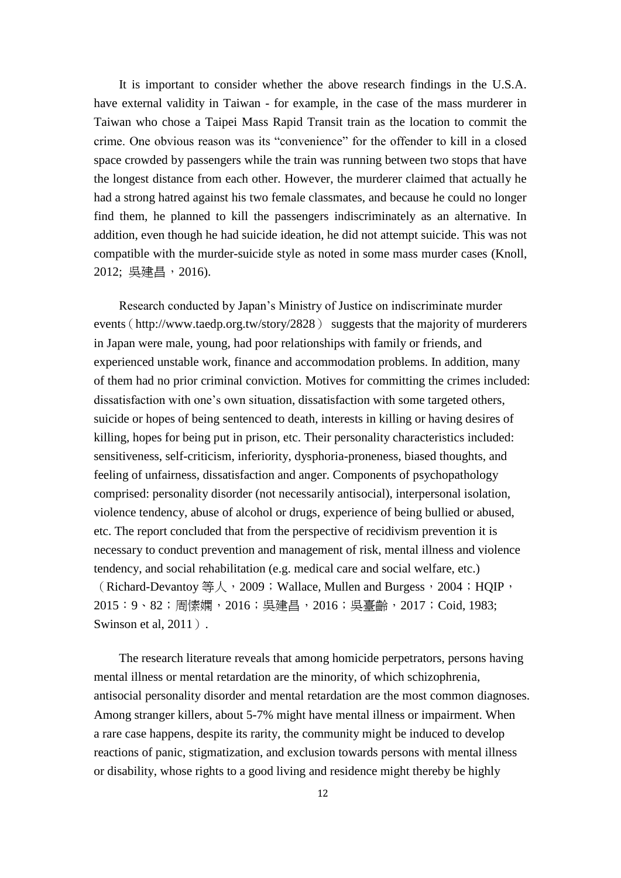It is important to consider whether the above research findings in the U.S.A. have external validity in Taiwan - for example, in the case of the mass murderer in Taiwan who chose a Taipei Mass Rapid Transit train as the location to commit the crime. One obvious reason was its "convenience" for the offender to kill in a closed space crowded by passengers while the train was running between two stops that have the longest distance from each other. However, the murderer claimed that actually he had a strong hatred against his two female classmates, and because he could no longer find them, he planned to kill the passengers indiscriminately as an alternative. In addition, even though he had suicide ideation, he did not attempt suicide. This was not compatible with the murder-suicide style as noted in some mass murder cases (Knoll, 2012; 吳建昌, 2016).

Research conducted by Japan's Ministry of Justice on indiscriminate murder events ([http://www.taedp.org.tw/story/2828](http://www.taedp.org.tw/story/2828）%20suggests)) suggests that the majority of murderers in Japan were male, young, had poor relationships with family or friends, and experienced unstable work, finance and accommodation problems. In addition, many of them had no prior criminal conviction. Motives for committing the crimes included: dissatisfaction with one's own situation, dissatisfaction with some targeted others, suicide or hopes of being sentenced to death, interests in killing or having desires of killing, hopes for being put in prison, etc. Their personality characteristics included: sensitiveness, self-criticism, inferiority, dysphoria-proneness, biased thoughts, and feeling of unfairness, dissatisfaction and anger. Components of psychopathology comprised: personality disorder (not necessarily antisocial), interpersonal isolation, violence tendency, abuse of alcohol or drugs, experience of being bullied or abused, etc. The report concluded that from the perspective of recidivism prevention it is necessary to conduct prevention and management of risk, mental illness and violence tendency, and social rehabilitation (e.g. medical care and social welfare, etc.) (Richard-Devantoy 等人, 2009; Wallace, Mullen and Burgess, 2004; HQIP, 2015:9、82;周愫嫻,2016;吳建昌,2016;吳臺齡,2017;Coid, 1983; Swinson et al, 2011).

The research literature reveals that among homicide perpetrators, persons having mental illness or mental retardation are the minority, of which schizophrenia, antisocial personality disorder and mental retardation are the most common diagnoses. Among stranger killers, about 5-7% might have mental illness or impairment. When a rare case happens, despite its rarity, the community might be induced to develop reactions of panic, stigmatization, and exclusion towards persons with mental illness or disability, whose rights to a good living and residence might thereby be highly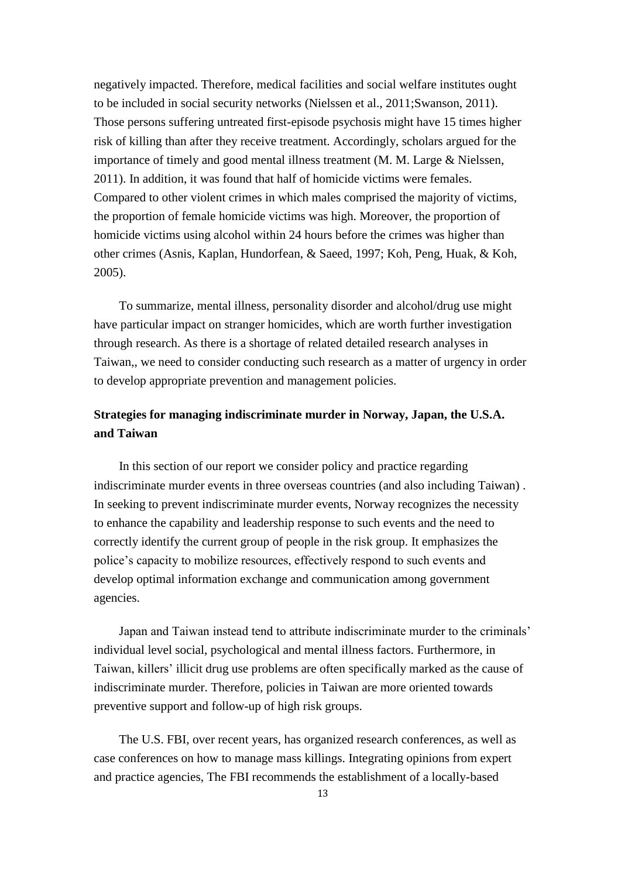negatively impacted. Therefore, medical facilities and social welfare institutes ought to be included in social security networks (Nielssen et al., 2011;Swanson, 2011). Those persons suffering untreated first-episode psychosis might have 15 times higher risk of killing than after they receive treatment. Accordingly, scholars argued for the importance of timely and good mental illness treatment (M. M. Large & Nielssen, 2011). In addition, it was found that half of homicide victims were females. Compared to other violent crimes in which males comprised the majority of victims, the proportion of female homicide victims was high. Moreover, the proportion of homicide victims using alcohol within 24 hours before the crimes was higher than other crimes (Asnis, Kaplan, Hundorfean, & Saeed, 1997; Koh, Peng, Huak, & Koh, 2005).

To summarize, mental illness, personality disorder and alcohol/drug use might have particular impact on stranger homicides, which are worth further investigation through research. As there is a shortage of related detailed research analyses in Taiwan,, we need to consider conducting such research as a matter of urgency in order to develop appropriate prevention and management policies.

# **Strategies for managing indiscriminate murder in Norway, Japan, the U.S.A. and Taiwan**

In this section of our report we consider policy and practice regarding indiscriminate murder events in three overseas countries (and also including Taiwan) . In seeking to prevent indiscriminate murder events, Norway recognizes the necessity to enhance the capability and leadership response to such events and the need to correctly identify the current group of people in the risk group. It emphasizes the police's capacity to mobilize resources, effectively respond to such events and develop optimal information exchange and communication among government agencies.

Japan and Taiwan instead tend to attribute indiscriminate murder to the criminals' individual level social, psychological and mental illness factors. Furthermore, in Taiwan, killers' illicit drug use problems are often specifically marked as the cause of indiscriminate murder. Therefore, policies in Taiwan are more oriented towards preventive support and follow-up of high risk groups.

The U.S. FBI, over recent years, has organized research conferences, as well as case conferences on how to manage mass killings. Integrating opinions from expert and practice agencies, The FBI recommends the establishment of a locally-based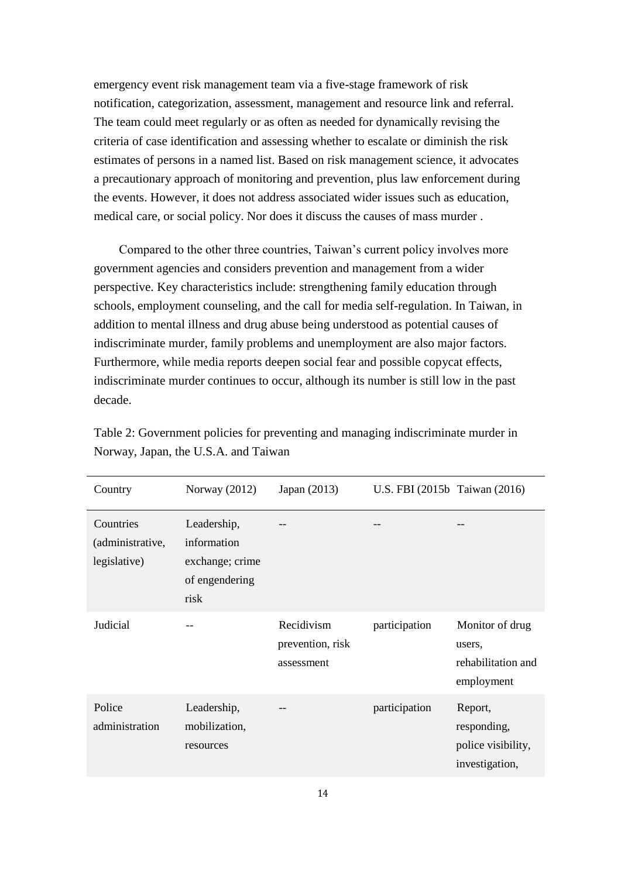emergency event risk management team via a five-stage framework of risk notification, categorization, assessment, management and resource link and referral. The team could meet regularly or as often as needed for dynamically revising the criteria of case identification and assessing whether to escalate or diminish the risk estimates of persons in a named list. Based on risk management science, it advocates a precautionary approach of monitoring and prevention, plus law enforcement during the events. However, it does not address associated wider issues such as education, medical care, or social policy. Nor does it discuss the causes of mass murder .

Compared to the other three countries, Taiwan's current policy involves more government agencies and considers prevention and management from a wider perspective. Key characteristics include: strengthening family education through schools, employment counseling, and the call for media self-regulation. In Taiwan, in addition to mental illness and drug abuse being understood as potential causes of indiscriminate murder, family problems and unemployment are also major factors. Furthermore, while media reports deepen social fear and possible copycat effects, indiscriminate murder continues to occur, although its number is still low in the past decade.

| Country                                       | Norway $(2012)$                                                         | Japan (2013)                                 | U.S. FBI (2015b Taiwan (2016) |                                                                |
|-----------------------------------------------|-------------------------------------------------------------------------|----------------------------------------------|-------------------------------|----------------------------------------------------------------|
| Countries<br>(administrative,<br>legislative) | Leadership,<br>information<br>exchange; crime<br>of engendering<br>risk |                                              | --                            |                                                                |
| Judicial                                      | --                                                                      | Recidivism<br>prevention, risk<br>assessment | participation                 | Monitor of drug<br>users.<br>rehabilitation and<br>employment  |
| Police<br>administration                      | Leadership,<br>mobilization,<br>resources                               |                                              | participation                 | Report,<br>responding,<br>police visibility,<br>investigation, |

Table 2: Government policies for preventing and managing indiscriminate murder in Norway, Japan, the U.S.A. and Taiwan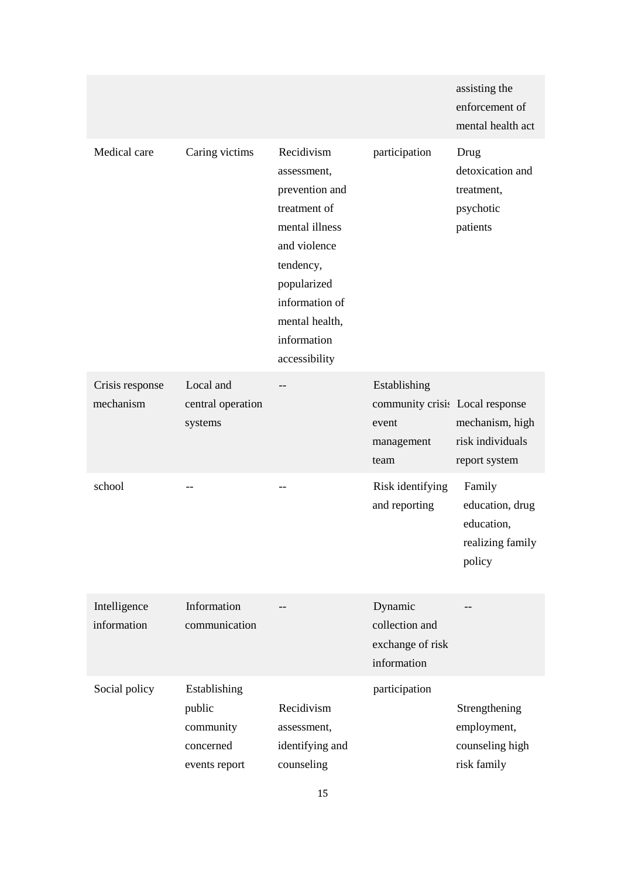|                              |                                                                   |                                                                                                                                                                                               |                                                                                | assisting the<br>enforcement of<br>mental health act                  |
|------------------------------|-------------------------------------------------------------------|-----------------------------------------------------------------------------------------------------------------------------------------------------------------------------------------------|--------------------------------------------------------------------------------|-----------------------------------------------------------------------|
| Medical care                 | Caring victims                                                    | Recidivism<br>assessment,<br>prevention and<br>treatment of<br>mental illness<br>and violence<br>tendency,<br>popularized<br>information of<br>mental health,<br>information<br>accessibility | participation                                                                  | Drug<br>detoxication and<br>treatment,<br>psychotic<br>patients       |
| Crisis response<br>mechanism | Local and<br>central operation<br>systems                         |                                                                                                                                                                                               | Establishing<br>community crisis Local response<br>event<br>management<br>team | mechanism, high<br>risk individuals<br>report system                  |
| school                       |                                                                   | --                                                                                                                                                                                            | Risk identifying<br>and reporting                                              | Family<br>education, drug<br>education,<br>realizing family<br>policy |
| Intelligence<br>information  | Information<br>communication                                      |                                                                                                                                                                                               | Dynamic<br>collection and<br>exchange of risk<br>information                   |                                                                       |
| Social policy                | Establishing<br>public<br>community<br>concerned<br>events report | Recidivism<br>assessment,<br>identifying and<br>counseling                                                                                                                                    | participation                                                                  | Strengthening<br>employment,<br>counseling high<br>risk family        |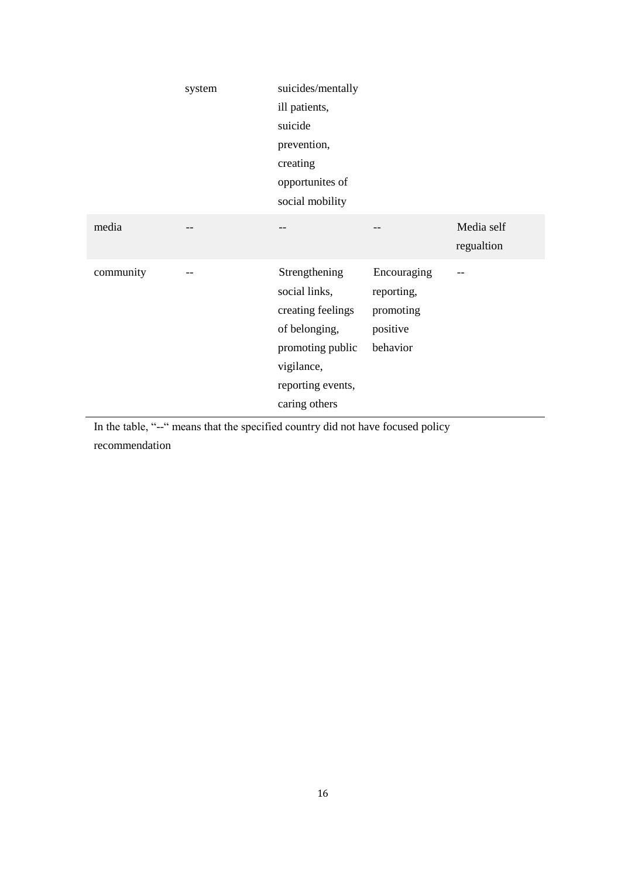|           | system | suicides/mentally<br>ill patients,<br>suicide<br>prevention,<br>creating<br>opportunites of<br>social mobility                               |                                                                |                          |
|-----------|--------|----------------------------------------------------------------------------------------------------------------------------------------------|----------------------------------------------------------------|--------------------------|
| media     |        |                                                                                                                                              | --                                                             | Media self<br>regualtion |
| community |        | Strengthening<br>social links,<br>creating feelings<br>of belonging,<br>promoting public<br>vigilance,<br>reporting events,<br>caring others | Encouraging<br>reporting,<br>promoting<br>positive<br>behavior | --                       |

In the table, "--" means that the specified country did not have focused policy

recommendation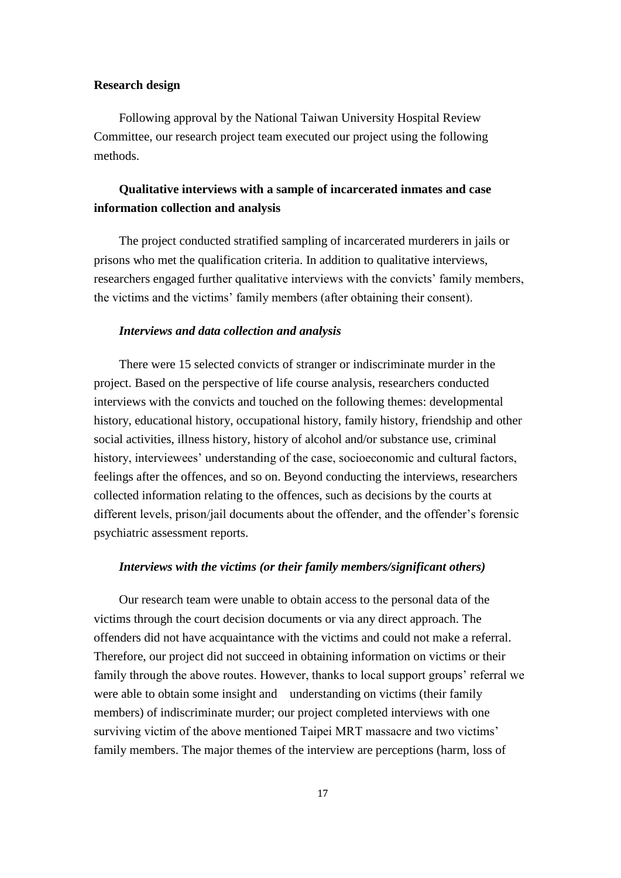# **Research design**

Following approval by the National Taiwan University Hospital Review Committee, our research project team executed our project using the following methods.

# **Qualitative interviews with a sample of incarcerated inmates and case information collection and analysis**

The project conducted stratified sampling of incarcerated murderers in jails or prisons who met the qualification criteria. In addition to qualitative interviews, researchers engaged further qualitative interviews with the convicts' family members, the victims and the victims' family members (after obtaining their consent).

## *Interviews and data collection and analysis*

There were 15 selected convicts of stranger or indiscriminate murder in the project. Based on the perspective of life course analysis, researchers conducted interviews with the convicts and touched on the following themes: developmental history, educational history, occupational history, family history, friendship and other social activities, illness history, history of alcohol and/or substance use, criminal history, interviewees' understanding of the case, socioeconomic and cultural factors, feelings after the offences, and so on. Beyond conducting the interviews, researchers collected information relating to the offences, such as decisions by the courts at different levels, prison/jail documents about the offender, and the offender's forensic psychiatric assessment reports.

# *Interviews with the victims (or their family members/significant others)*

Our research team were unable to obtain access to the personal data of the victims through the court decision documents or via any direct approach. The offenders did not have acquaintance with the victims and could not make a referral. Therefore, our project did not succeed in obtaining information on victims or their family through the above routes. However, thanks to local support groups' referral we were able to obtain some insight and understanding on victims (their family members) of indiscriminate murder; our project completed interviews with one surviving victim of the above mentioned Taipei MRT massacre and two victims' family members. The major themes of the interview are perceptions (harm, loss of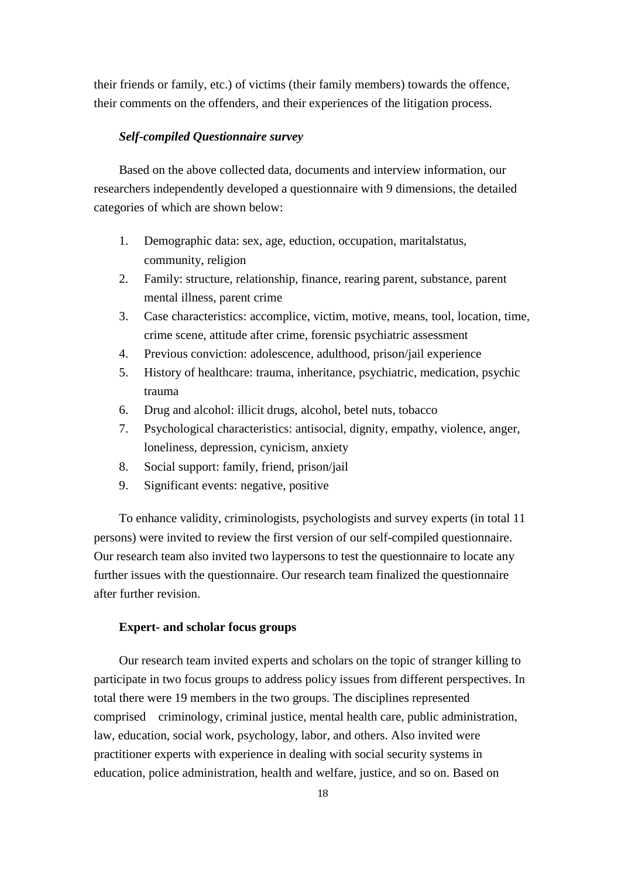their friends or family, etc.) of victims (their family members) towards the offence, their comments on the offenders, and their experiences of the litigation process.

# *Self-compiled Questionnaire survey*

Based on the above collected data, documents and interview information, our researchers independently developed a questionnaire with 9 dimensions, the detailed categories of which are shown below:

- 1. Demographic data: sex, age, eduction, occupation, maritalstatus, community, religion
- 2. Family: structure, relationship, finance, rearing parent, substance, parent mental illness, parent crime
- 3. Case characteristics: accomplice, victim, motive, means, tool, location, time, crime scene, attitude after crime, forensic psychiatric assessment
- 4. Previous conviction: adolescence, adulthood, prison/jail experience
- 5. History of healthcare: trauma, inheritance, psychiatric, medication, psychic trauma
- 6. Drug and alcohol: illicit drugs, alcohol, betel nuts, tobacco
- 7. Psychological characteristics: antisocial, dignity, empathy, violence, anger, loneliness, depression, cynicism, anxiety
- 8. Social support: family, friend, prison/jail
- 9. Significant events: negative, positive

To enhance validity, criminologists, psychologists and survey experts (in total 11 persons) were invited to review the first version of our self-compiled questionnaire. Our research team also invited two laypersons to test the questionnaire to locate any further issues with the questionnaire. Our research team finalized the questionnaire after further revision.

# **Expert- and scholar focus groups**

Our research team invited experts and scholars on the topic of stranger killing to participate in two focus groups to address policy issues from different perspectives. In total there were 19 members in the two groups. The disciplines represented comprised criminology, criminal justice, mental health care, public administration, law, education, social work, psychology, labor, and others. Also invited were practitioner experts with experience in dealing with social security systems in education, police administration, health and welfare, justice, and so on. Based on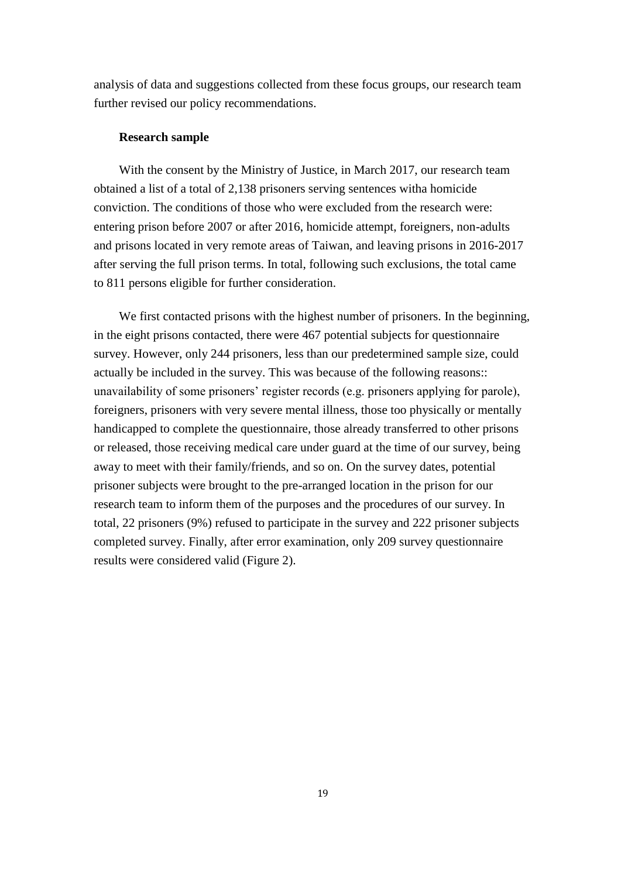analysis of data and suggestions collected from these focus groups, our research team further revised our policy recommendations.

#### **Research sample**

With the consent by the Ministry of Justice, in March 2017, our research team obtained a list of a total of 2,138 prisoners serving sentences witha homicide conviction. The conditions of those who were excluded from the research were: entering prison before 2007 or after 2016, homicide attempt, foreigners, non-adults and prisons located in very remote areas of Taiwan, and leaving prisons in 2016-2017 after serving the full prison terms. In total, following such exclusions, the total came to 811 persons eligible for further consideration.

We first contacted prisons with the highest number of prisoners. In the beginning, in the eight prisons contacted, there were 467 potential subjects for questionnaire survey. However, only 244 prisoners, less than our predetermined sample size, could actually be included in the survey. This was because of the following reasons:: unavailability of some prisoners' register records (e.g. prisoners applying for parole), foreigners, prisoners with very severe mental illness, those too physically or mentally handicapped to complete the questionnaire, those already transferred to other prisons or released, those receiving medical care under guard at the time of our survey, being away to meet with their family/friends, and so on. On the survey dates, potential prisoner subjects were brought to the pre-arranged location in the prison for our research team to inform them of the purposes and the procedures of our survey. In total, 22 prisoners (9%) refused to participate in the survey and 222 prisoner subjects completed survey. Finally, after error examination, only 209 survey questionnaire results were considered valid (Figure 2).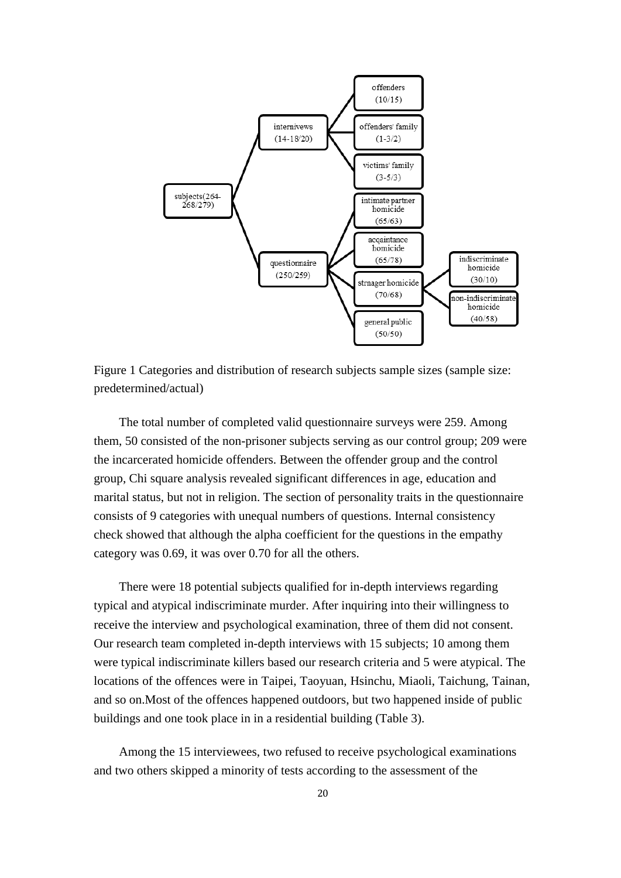

Figure 1 Categories and distribution of research subjects sample sizes (sample size: predetermined/actual)

The total number of completed valid questionnaire surveys were 259. Among them, 50 consisted of the non-prisoner subjects serving as our control group; 209 were the incarcerated homicide offenders. Between the offender group and the control group, Chi square analysis revealed significant differences in age, education and marital status, but not in religion. The section of personality traits in the questionnaire consists of 9 categories with unequal numbers of questions. Internal consistency check showed that although the alpha coefficient for the questions in the empathy category was 0.69, it was over 0.70 for all the others.

There were 18 potential subjects qualified for in-depth interviews regarding typical and atypical indiscriminate murder. After inquiring into their willingness to receive the interview and psychological examination, three of them did not consent. Our research team completed in-depth interviews with 15 subjects; 10 among them were typical indiscriminate killers based our research criteria and 5 were atypical. The locations of the offences were in Taipei, Taoyuan, Hsinchu, Miaoli, Taichung, Tainan, and so on.Most of the offences happened outdoors, but two happened inside of public buildings and one took place in in a residential building (Table 3).

Among the 15 interviewees, two refused to receive psychological examinations and two others skipped a minority of tests according to the assessment of the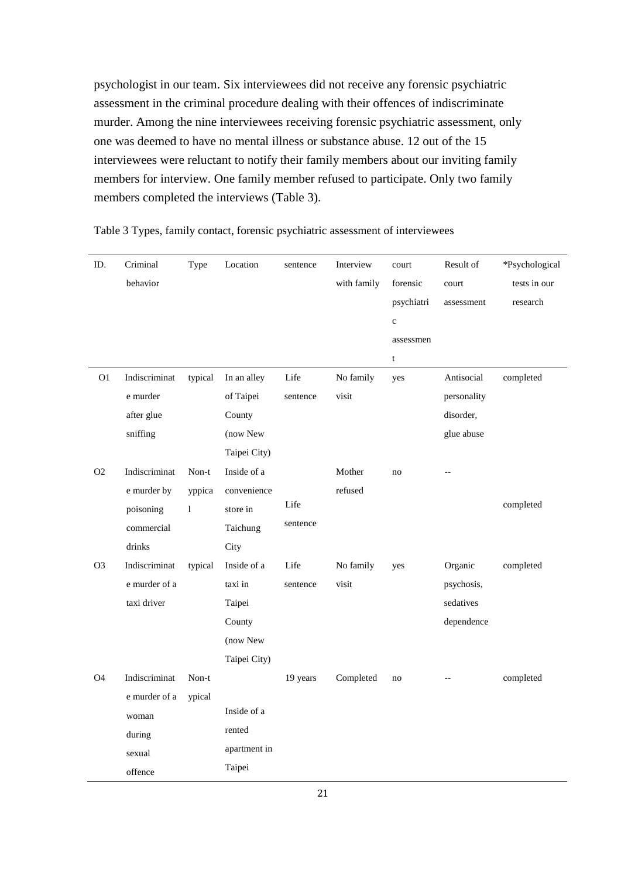psychologist in our team. Six interviewees did not receive any forensic psychiatric assessment in the criminal procedure dealing with their offences of indiscriminate murder. Among the nine interviewees receiving forensic psychiatric assessment, only one was deemed to have no mental illness or substance abuse. 12 out of the 15 interviewees were reluctant to notify their family members about our inviting family members for interview. One family member refused to participate. Only two family members completed the interviews (Table 3).

| ID.            | Criminal      | Type           | Location     | sentence | Interview   | court       | Result of   | *Psychological |
|----------------|---------------|----------------|--------------|----------|-------------|-------------|-------------|----------------|
|                | behavior      |                |              |          | with family | forensic    | court       | tests in our   |
|                |               |                |              |          |             | psychiatri  | assessment  | research       |
|                |               |                |              |          |             | $\mathbf c$ |             |                |
|                |               |                |              |          |             | assessmen   |             |                |
|                |               |                |              |          |             | $\mathbf t$ |             |                |
| O <sub>1</sub> | Indiscriminat | typical        | In an alley  | Life     | No family   | yes         | Antisocial  | completed      |
|                | e murder      |                | of Taipei    | sentence | visit       |             | personality |                |
|                | after glue    |                | County       |          |             |             | disorder,   |                |
|                | sniffing      |                | (now New     |          |             |             | glue abuse  |                |
|                |               |                | Taipei City) |          |             |             |             |                |
| O2             | Indiscriminat | $\mbox{Non-t}$ | Inside of a  |          | Mother      | no          | $-$         |                |
|                | e murder by   | yppica         | convenience  |          | refused     |             |             |                |
|                | poisoning     | $\mathbf{1}$   | store in     | Life     |             |             |             | completed      |
|                | commercial    |                | Taichung     | sentence |             |             |             |                |
|                | drinks        |                | City         |          |             |             |             |                |
| O <sub>3</sub> | Indiscriminat | typical        | Inside of a  | Life     | No family   | yes         | Organic     | completed      |
|                | e murder of a |                | taxi in      | sentence | visit       |             | psychosis,  |                |
|                | taxi driver   |                | Taipei       |          |             |             | sedatives   |                |
|                |               |                | County       |          |             |             | dependence  |                |
|                |               |                | (now New     |          |             |             |             |                |
|                |               |                | Taipei City) |          |             |             |             |                |
| O <sub>4</sub> | Indiscriminat | Non-t          |              | 19 years | Completed   | no          |             | completed      |
|                | e murder of a | ypical         |              |          |             |             |             |                |
|                | woman         |                | Inside of a  |          |             |             |             |                |
|                | during        |                | rented       |          |             |             |             |                |
|                | sexual        |                | apartment in |          |             |             |             |                |
|                | offence       |                | Taipei       |          |             |             |             |                |

Table 3 Types, family contact, forensic psychiatric assessment of interviewees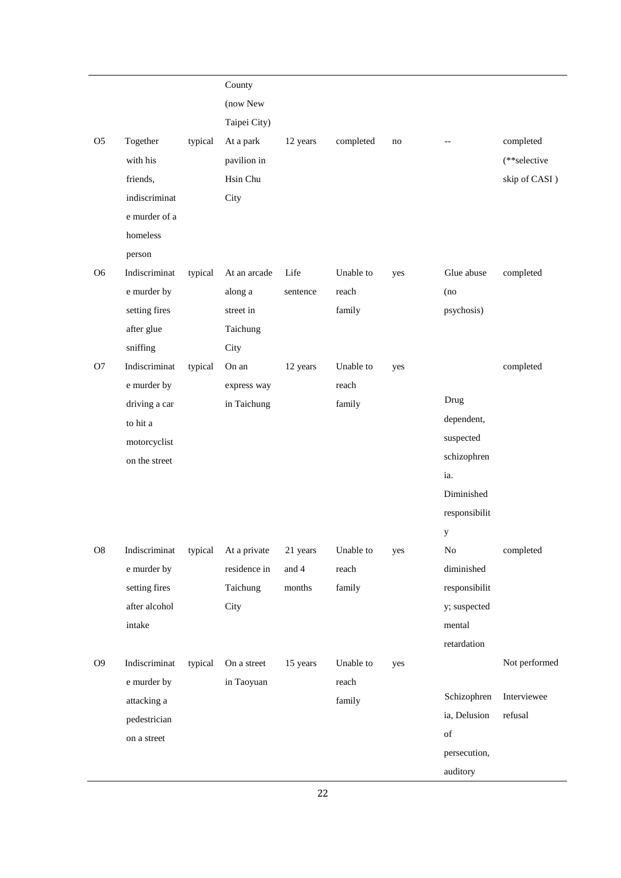|                |                             |         | County       |          |                 |     |               |               |
|----------------|-----------------------------|---------|--------------|----------|-----------------|-----|---------------|---------------|
|                |                             |         | (now New     |          |                 |     |               |               |
|                |                             |         | Taipei City) |          |                 |     |               |               |
| O <sub>5</sub> | Together                    | typical | At a park    | 12 years | completed       | no  |               | completed     |
|                | with his                    |         | pavilion in  |          |                 |     |               | (**selective  |
|                | friends,                    |         | Hsin Chu     |          |                 |     |               | skip of CASI) |
|                | indiscriminat               |         | City         |          |                 |     |               |               |
|                | e murder of a               |         |              |          |                 |     |               |               |
|                | homeless                    |         |              |          |                 |     |               |               |
|                | person                      |         |              |          |                 |     |               |               |
| O <sub>6</sub> | Indiscriminat               | typical | At an arcade | Life     | Unable to       | yes | Glue abuse    | completed     |
|                | e murder by                 |         | along a      | sentence | reach           |     | (no           |               |
|                | setting fires               |         | street in    |          | family          |     | psychosis)    |               |
|                | after glue                  |         | Taichung     |          |                 |     |               |               |
|                | sniffing                    |         | City         |          |                 |     |               |               |
| O <sub>7</sub> | Indiscriminat               | typical | On an        | 12 years | Unable to       | yes |               | completed     |
|                | e murder by                 |         | express way  |          | reach           |     |               |               |
|                | driving a car               |         | in Taichung  |          | family          |     | Drug          |               |
|                | to hit a                    |         |              |          |                 |     | dependent,    |               |
|                | motorcyclist                |         |              |          |                 |     | suspected     |               |
|                | on the street               |         |              |          |                 |     | schizophren   |               |
|                |                             |         |              |          |                 |     | ia.           |               |
|                |                             |         |              |          |                 |     | Diminished    |               |
|                |                             |         |              |          |                 |     | responsibilit |               |
|                |                             |         |              |          |                 |     | y             |               |
| ${\bf O}8$     | Indiscriminat               | typical | At a private | 21 years | Unable to       | yes | $\rm No$      | completed     |
|                | e murder by                 |         | residence in | and 4    | reach           |     | diminished    |               |
|                | setting fires               |         | Taichung     | months   | family          |     | responsibilit |               |
|                | after alcohol               |         | City         |          |                 |     | y; suspected  |               |
|                | intake                      |         |              |          |                 |     | mental        |               |
|                |                             |         |              |          |                 |     | retardation   |               |
| O <sub>9</sub> | Indiscriminat               | typical | On a street  | 15 years | Unable to       | yes |               | Not performed |
|                | e murder by                 |         | in Taoyuan   |          | reach<br>family |     | Schizophren   | Interviewee   |
|                | attacking a                 |         |              |          |                 |     | ia, Delusion  | refusal       |
|                | pedestrician<br>on a street |         |              |          |                 |     | of            |               |
|                |                             |         |              |          |                 |     | persecution,  |               |
|                |                             |         |              |          |                 |     | auditory      |               |
|                |                             |         |              |          |                 |     |               |               |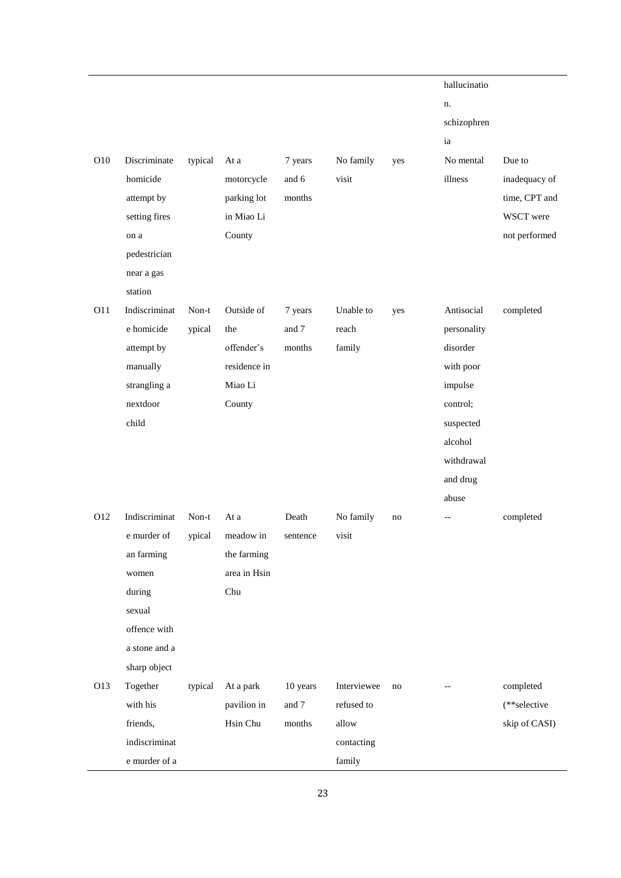| O10        | Discriminate<br>homicide<br>attempt by<br>setting fires<br>on a<br>pedestrician<br>near a gas<br>station                             | typical         | At a<br>motorcycle<br>parking lot<br>in Miao Li<br>County            | 7 years<br>and 6<br>months  | No family<br>visit                          | yes | hallucinatio<br>n.<br>schizophren<br>ia<br>No mental<br>illness                                                                      | Due to<br>inadequacy of<br>time, CPT and<br>WSCT were<br>not performed |
|------------|--------------------------------------------------------------------------------------------------------------------------------------|-----------------|----------------------------------------------------------------------|-----------------------------|---------------------------------------------|-----|--------------------------------------------------------------------------------------------------------------------------------------|------------------------------------------------------------------------|
| O11        | Indiscriminat<br>e homicide<br>attempt by<br>manually<br>strangling a<br>nextdoor<br>child                                           | Non-t<br>ypical | Outside of<br>the<br>offender's<br>residence in<br>Miao Li<br>County | 7 years<br>and 7<br>months  | Unable to<br>reach<br>family                | yes | Antisocial<br>personality<br>disorder<br>with poor<br>impulse<br>control;<br>suspected<br>alcohol<br>withdrawal<br>and drug<br>abuse | completed                                                              |
| O12<br>O13 | Indiscriminat<br>e murder of<br>an farming<br>women<br>during<br>sexual<br>offence with<br>a stone and a<br>sharp object<br>Together | Non-t<br>ypical | At a<br>meadow in<br>the farming<br>area in Hsin<br>Chu              | Death<br>sentence           | No family<br>visit<br>Interviewee           | no  |                                                                                                                                      | completed                                                              |
|            | with his<br>friends,<br>indiscriminat<br>e murder of a                                                                               | typical         | At a park<br>pavilion in<br>Hsin Chu                                 | 10 years<br>and 7<br>months | refused to<br>allow<br>contacting<br>family | no  |                                                                                                                                      | completed<br>(**selective<br>skip of CASI)                             |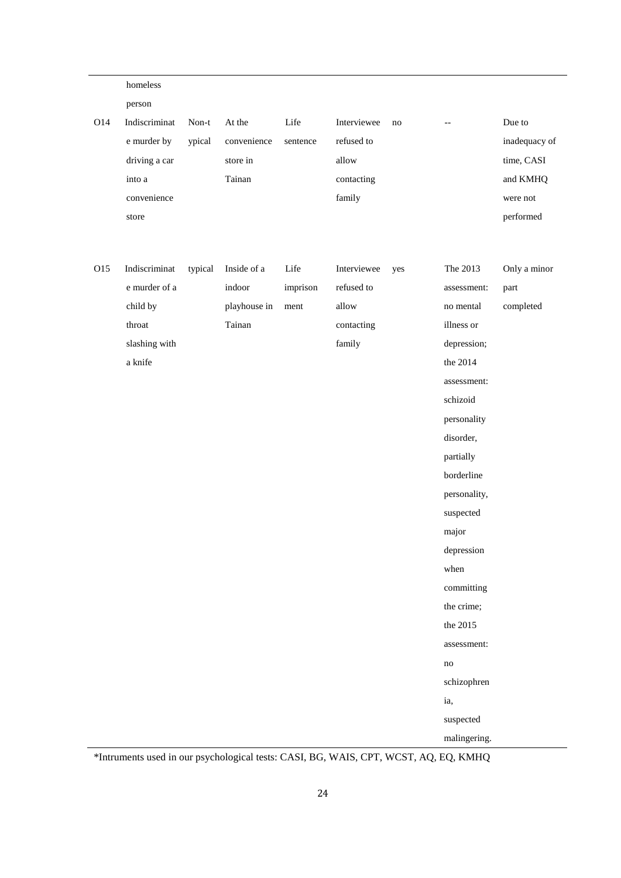|     | homeless      |         |              |          |             |     |                                                     |               |
|-----|---------------|---------|--------------|----------|-------------|-----|-----------------------------------------------------|---------------|
|     | person        |         |              |          |             |     |                                                     |               |
| O14 | Indiscriminat | Non-t   | At the       | Life     | Interviewee | no  | $\hspace{0.05cm} -\hspace{0.05cm} -\hspace{0.05cm}$ | Due to        |
|     | e murder by   | ypical  | convenience  | sentence | refused to  |     |                                                     | inadequacy of |
|     | driving a car |         | store in     |          | allow       |     |                                                     | time, CASI    |
|     | into a        |         | Tainan       |          | contacting  |     |                                                     | and KMHQ      |
|     | convenience   |         |              |          | family      |     |                                                     | were not      |
|     | store         |         |              |          |             |     |                                                     | performed     |
|     |               |         |              |          |             |     |                                                     |               |
| O15 | Indiscriminat | typical | Inside of a  | Life     | Interviewee | yes | The 2013                                            | Only a minor  |
|     | e murder of a |         | indoor       | imprison | refused to  |     | assessment:                                         | part          |
|     | child by      |         | playhouse in | ment     | allow       |     | no mental                                           | completed     |
|     | throat        |         | Tainan       |          | contacting  |     | illness or                                          |               |
|     | slashing with |         |              |          | family      |     | depression;                                         |               |
|     | a knife       |         |              |          |             |     | the 2014                                            |               |
|     |               |         |              |          |             |     | assessment:                                         |               |
|     |               |         |              |          |             |     | schizoid                                            |               |
|     |               |         |              |          |             |     | personality                                         |               |
|     |               |         |              |          |             |     | disorder,                                           |               |
|     |               |         |              |          |             |     | partially                                           |               |
|     |               |         |              |          |             |     | borderline                                          |               |
|     |               |         |              |          |             |     | personality,                                        |               |
|     |               |         |              |          |             |     | suspected                                           |               |
|     |               |         |              |          |             |     | major                                               |               |
|     |               |         |              |          |             |     | depression                                          |               |
|     |               |         |              |          |             |     | when                                                |               |
|     |               |         |              |          |             |     | committing                                          |               |
|     |               |         |              |          |             |     | the crime;                                          |               |
|     |               |         |              |          |             |     | the 2015                                            |               |
|     |               |         |              |          |             |     | assessment:                                         |               |
|     |               |         |              |          |             |     | no                                                  |               |
|     |               |         |              |          |             |     | schizophren                                         |               |
|     |               |         |              |          |             |     | ia,                                                 |               |
|     |               |         |              |          |             |     | suspected                                           |               |
|     |               |         |              |          |             |     | malingering.                                        |               |

\*Intruments used in our psychological tests: CASI, BG, WAIS, CPT, WCST, AQ, EQ, KMHQ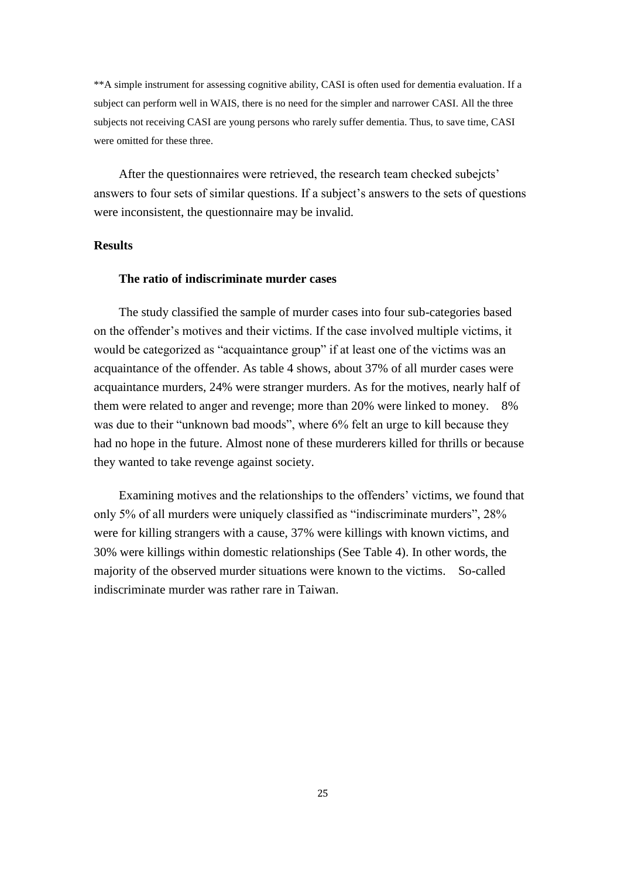\*\*A simple instrument for assessing cognitive ability, CASI is often used for dementia evaluation. If a subject can perform well in WAIS, there is no need for the simpler and narrower CASI. All the three subjects not receiving CASI are young persons who rarely suffer dementia. Thus, to save time, CASI were omitted for these three.

After the questionnaires were retrieved, the research team checked subejcts' answers to four sets of similar questions. If a subject's answers to the sets of questions were inconsistent, the questionnaire may be invalid.

#### **Results**

#### **The ratio of indiscriminate murder cases**

The study classified the sample of murder cases into four sub-categories based on the offender's motives and their victims. If the case involved multiple victims, it would be categorized as "acquaintance group" if at least one of the victims was an acquaintance of the offender. As table 4 shows, about 37% of all murder cases were acquaintance murders, 24% were stranger murders. As for the motives, nearly half of them were related to anger and revenge; more than 20% were linked to money. 8% was due to their "unknown bad moods", where 6% felt an urge to kill because they had no hope in the future. Almost none of these murderers killed for thrills or because they wanted to take revenge against society.

Examining motives and the relationships to the offenders' victims, we found that only 5% of all murders were uniquely classified as "indiscriminate murders", 28% were for killing strangers with a cause, 37% were killings with known victims, and 30% were killings within domestic relationships (See Table 4). In other words, the majority of the observed murder situations were known to the victims. So-called indiscriminate murder was rather rare in Taiwan.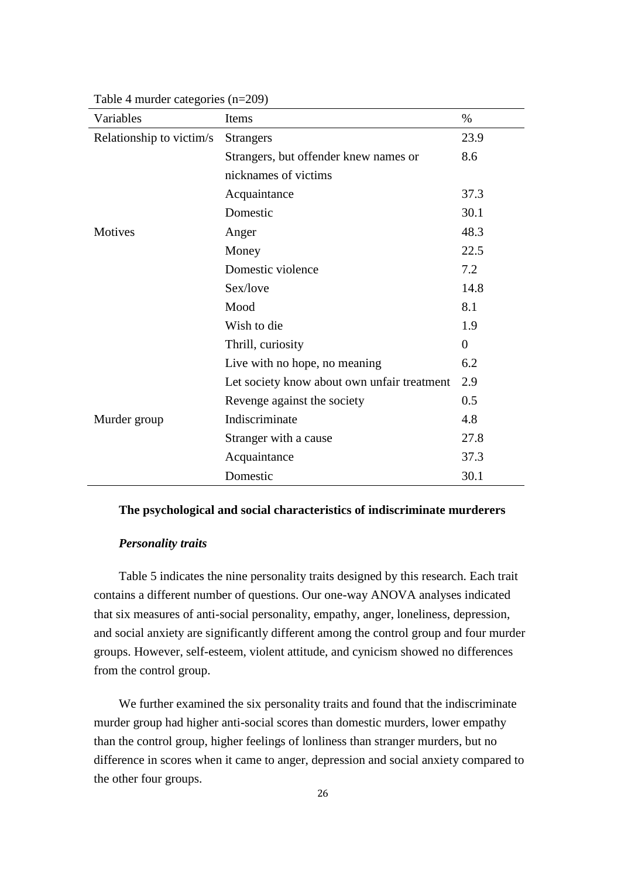| Variables                | Items                                       | $\%$           |
|--------------------------|---------------------------------------------|----------------|
| Relationship to victim/s | <b>Strangers</b>                            | 23.9           |
|                          | Strangers, but offender knew names or       | 8.6            |
|                          | nicknames of victims                        |                |
|                          | Acquaintance                                | 37.3           |
|                          | Domestic                                    | 30.1           |
| <b>Motives</b>           | Anger                                       | 48.3           |
|                          | Money                                       | 22.5           |
|                          | Domestic violence                           | 7.2            |
|                          | Sex/love                                    | 14.8           |
|                          | Mood                                        | 8.1            |
|                          | Wish to die                                 | 1.9            |
|                          | Thrill, curiosity                           | $\overline{0}$ |
|                          | Live with no hope, no meaning               | 6.2            |
|                          | Let society know about own unfair treatment | 2.9            |
|                          | Revenge against the society                 | 0.5            |
| Murder group             | Indiscriminate                              | 4.8            |
|                          | Stranger with a cause                       | 27.8           |
|                          | Acquaintance                                | 37.3           |
|                          | Domestic                                    | 30.1           |

Table 4 murder categories (n=209)

# **The psychological and social characteristics of indiscriminate murderers**

# *Personality traits*

Table 5 indicates the nine personality traits designed by this research. Each trait contains a different number of questions. Our one-way ANOVA analyses indicated that six measures of anti-social personality, empathy, anger, loneliness, depression, and social anxiety are significantly different among the control group and four murder groups. However, self-esteem, violent attitude, and cynicism showed no differences from the control group.

We further examined the six personality traits and found that the indiscriminate murder group had higher anti-social scores than domestic murders, lower empathy than the control group, higher feelings of lonliness than stranger murders, but no difference in scores when it came to anger, depression and social anxiety compared to the other four groups.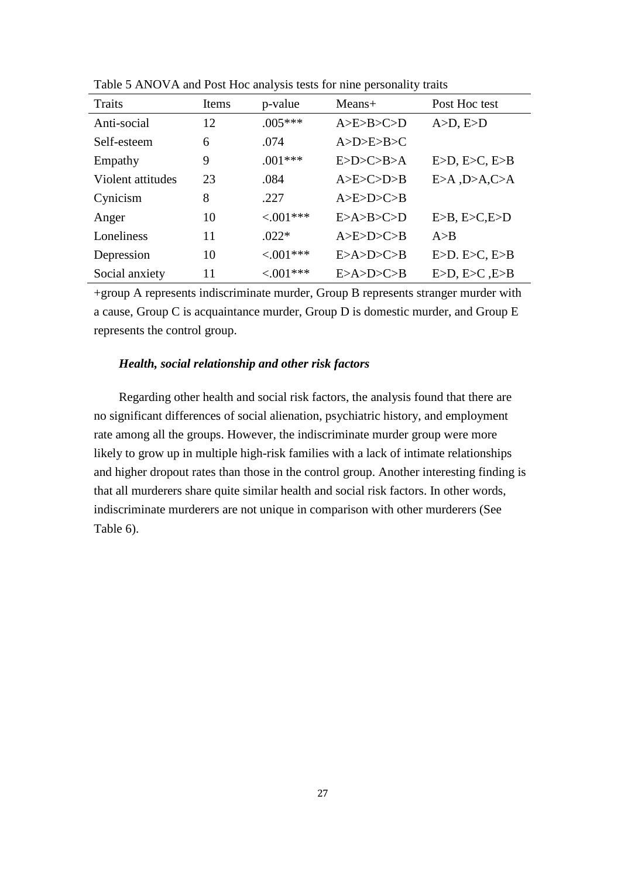| Traits            | Items | p-value     | $Means+$  | Post Hoc test     |
|-------------------|-------|-------------|-----------|-------------------|
| Anti-social       | 12    | $.005***$   | A>E>B>C>D | $A>D, E\supset D$ |
| Self-esteem       | 6     | .074        | A>D>E>B>C |                   |
| Empathy           | 9     | $.001***$   | E>D>C>B>A | E>D, E>C, E>B     |
| Violent attitudes | 23    | .084        | A>E>C>D>B | E>A, D>A, C>A     |
| Cynicism          | 8     | .227        | A>E>D>C>B |                   |
| Anger             | 10    | $< 0.01***$ | E>A>B>C>D | E>B, E>C, E>D     |
| Loneliness        | 11    | $.022*$     | A>E>D>C>B | A > B             |
| Depression        | 10    | $< 0.01***$ | E>A>D>C>B | E>D. E>C, E>B     |
| Social anxiety    | 11    | $< 0.01***$ | E>A>D>C>B | E>D, E>C, E>B     |

Table 5 ANOVA and Post Hoc analysis tests for nine personality traits

+group A represents indiscriminate murder, Group B represents stranger murder with a cause, Group C is acquaintance murder, Group D is domestic murder, and Group E represents the control group.

# *Health, social relationship and other risk factors*

Regarding other health and social risk factors, the analysis found that there are no significant differences of social alienation, psychiatric history, and employment rate among all the groups. However, the indiscriminate murder group were more likely to grow up in multiple high-risk families with a lack of intimate relationships and higher dropout rates than those in the control group. Another interesting finding is that all murderers share quite similar health and social risk factors. In other words, indiscriminate murderers are not unique in comparison with other murderers (See Table 6).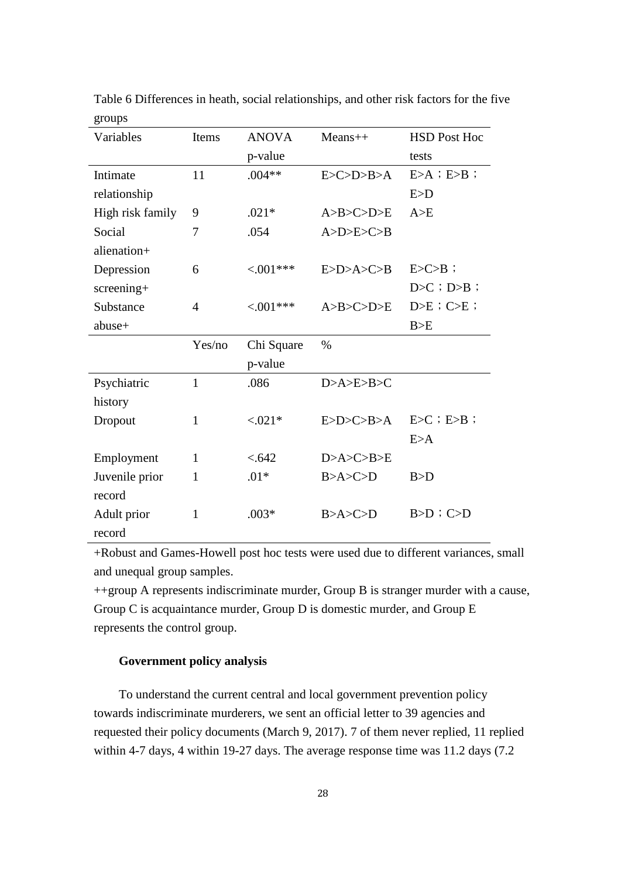| Variables        | Items        | <b>ANOVA</b> | $Means++$         | <b>HSD Post Hoc</b> |
|------------------|--------------|--------------|-------------------|---------------------|
|                  |              | p-value      |                   | tests               |
| Intimate         | 11           | $.004**$     | E > C > D > B > A | $E>A$ ; $E>B$ ;     |
| relationship     |              |              |                   | E>D                 |
| High risk family | 9            | $.021*$      | A>B>C>D>E         | A>E                 |
| Social           | 7            | .054         | A>D>E>C>B         |                     |
| alienation+      |              |              |                   |                     |
| Depression       | 6            | $< 0.01***$  | E>D>A>C>B         | $E > C > B$ ;       |
| screening+       |              |              |                   | $D > C$ ; $D > B$ ; |
| Substance        | 4            | $< 0.01***$  | A>B>C>D>E         | $D>E$ ; $C>E$ ;     |
| abuse+           |              |              |                   | B>E                 |
|                  | Yes/no       | Chi Square   | $\%$              |                     |
|                  |              | p-value      |                   |                     |
| Psychiatric      | $\mathbf{1}$ | .086         | D > A > E > B > C |                     |
| history          |              |              |                   |                     |
| Dropout          | 1            | $< 0.021*$   | E>D>C>B>A         | $E>C$ ; $E>B$ ;     |
|                  |              |              |                   | E>A                 |
| Employment       | $\mathbf{1}$ | < .642       | D>A>C>B>E         |                     |
| Juvenile prior   | $\mathbf{1}$ | $.01*$       | B > A > C > D     | B>D                 |
| record           |              |              |                   |                     |
| Adult prior      | $\mathbf{1}$ | $.003*$      | B > A > C > D     | $B>D$ ; $C>D$       |
| record           |              |              |                   |                     |

Table 6 Differences in heath, social relationships, and other risk factors for the five groups

+Robust and Games-Howell post hoc tests were used due to different variances, small and unequal group samples.

++group A represents indiscriminate murder, Group B is stranger murder with a cause, Group C is acquaintance murder, Group D is domestic murder, and Group E represents the control group.

# **Government policy analysis**

To understand the current central and local government prevention policy towards indiscriminate murderers, we sent an official letter to 39 agencies and requested their policy documents (March 9, 2017). 7 of them never replied, 11 replied within 4-7 days, 4 within 19-27 days. The average response time was 11.2 days (7.2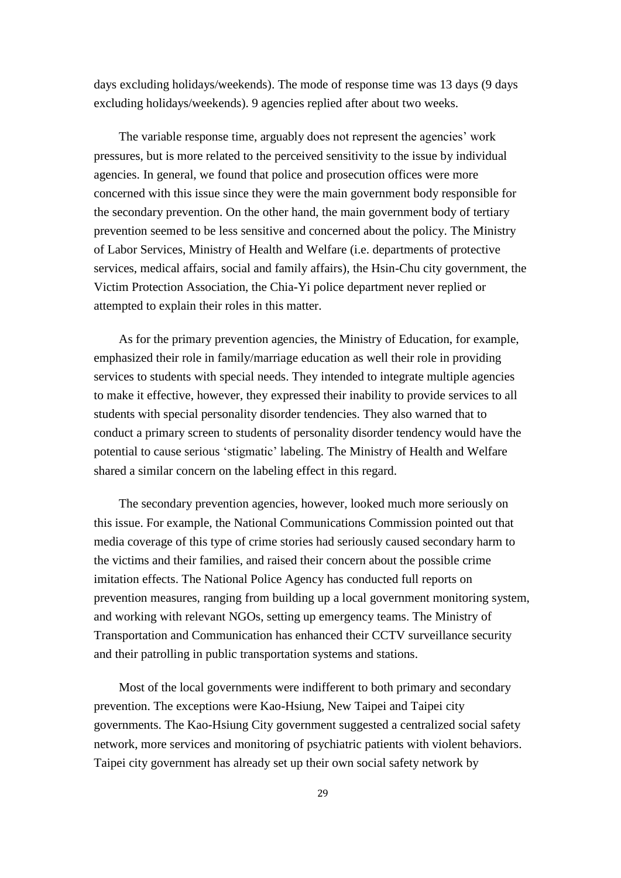days excluding holidays/weekends). The mode of response time was 13 days (9 days excluding holidays/weekends). 9 agencies replied after about two weeks.

The variable response time, arguably does not represent the agencies' work pressures, but is more related to the perceived sensitivity to the issue by individual agencies. In general, we found that police and prosecution offices were more concerned with this issue since they were the main government body responsible for the secondary prevention. On the other hand, the main government body of tertiary prevention seemed to be less sensitive and concerned about the policy. The Ministry of Labor Services, Ministry of Health and Welfare (i.e. departments of protective services, medical affairs, social and family affairs), the Hsin-Chu city government, the Victim Protection Association, the Chia-Yi police department never replied or attempted to explain their roles in this matter.

As for the primary prevention agencies, the Ministry of Education, for example, emphasized their role in family/marriage education as well their role in providing services to students with special needs. They intended to integrate multiple agencies to make it effective, however, they expressed their inability to provide services to all students with special personality disorder tendencies. They also warned that to conduct a primary screen to students of personality disorder tendency would have the potential to cause serious 'stigmatic' labeling. The Ministry of Health and Welfare shared a similar concern on the labeling effect in this regard.

The secondary prevention agencies, however, looked much more seriously on this issue. For example, the National Communications Commission pointed out that media coverage of this type of crime stories had seriously caused secondary harm to the victims and their families, and raised their concern about the possible crime imitation effects. The National Police Agency has conducted full reports on prevention measures, ranging from building up a local government monitoring system, and working with relevant NGOs, setting up emergency teams. The Ministry of Transportation and Communication has enhanced their CCTV surveillance security and their patrolling in public transportation systems and stations.

Most of the local governments were indifferent to both primary and secondary prevention. The exceptions were Kao-Hsiung, New Taipei and Taipei city governments. The Kao-Hsiung City government suggested a centralized social safety network, more services and monitoring of psychiatric patients with violent behaviors. Taipei city government has already set up their own social safety network by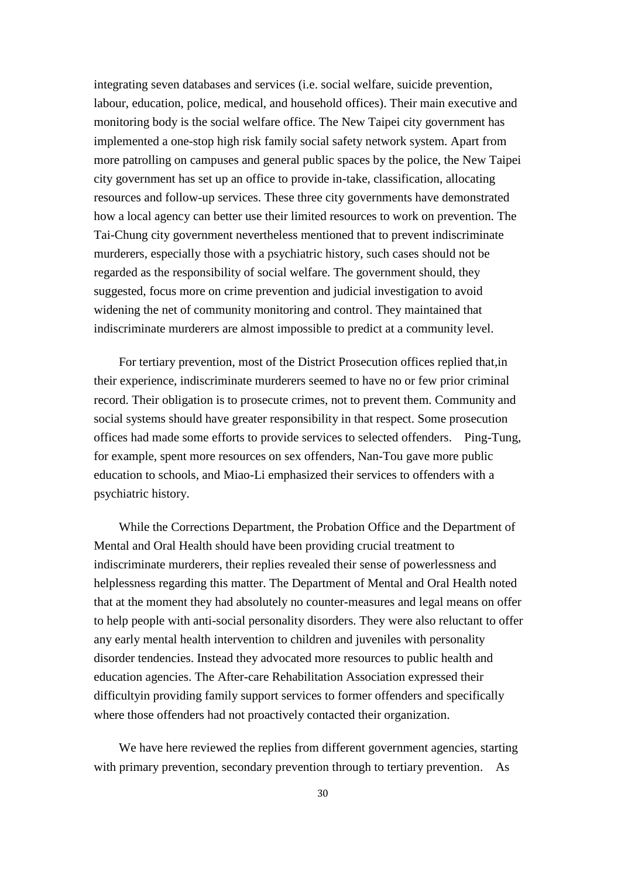integrating seven databases and services (i.e. social welfare, suicide prevention, labour, education, police, medical, and household offices). Their main executive and monitoring body is the social welfare office. The New Taipei city government has implemented a one-stop high risk family social safety network system. Apart from more patrolling on campuses and general public spaces by the police, the New Taipei city government has set up an office to provide in-take, classification, allocating resources and follow-up services. These three city governments have demonstrated how a local agency can better use their limited resources to work on prevention. The Tai-Chung city government nevertheless mentioned that to prevent indiscriminate murderers, especially those with a psychiatric history, such cases should not be regarded as the responsibility of social welfare. The government should, they suggested, focus more on crime prevention and judicial investigation to avoid widening the net of community monitoring and control. They maintained that indiscriminate murderers are almost impossible to predict at a community level.

For tertiary prevention, most of the District Prosecution offices replied that,in their experience, indiscriminate murderers seemed to have no or few prior criminal record. Their obligation is to prosecute crimes, not to prevent them. Community and social systems should have greater responsibility in that respect. Some prosecution offices had made some efforts to provide services to selected offenders. Ping-Tung, for example, spent more resources on sex offenders, Nan-Tou gave more public education to schools, and Miao-Li emphasized their services to offenders with a psychiatric history.

While the Corrections Department, the Probation Office and the Department of Mental and Oral Health should have been providing crucial treatment to indiscriminate murderers, their replies revealed their sense of powerlessness and helplessness regarding this matter. The Department of Mental and Oral Health noted that at the moment they had absolutely no counter-measures and legal means on offer to help people with anti-social personality disorders. They were also reluctant to offer any early mental health intervention to children and juveniles with personality disorder tendencies. Instead they advocated more resources to public health and education agencies. The After-care Rehabilitation Association expressed their difficultyin providing family support services to former offenders and specifically where those offenders had not proactively contacted their organization.

We have here reviewed the replies from different government agencies, starting with primary prevention, secondary prevention through to tertiary prevention. As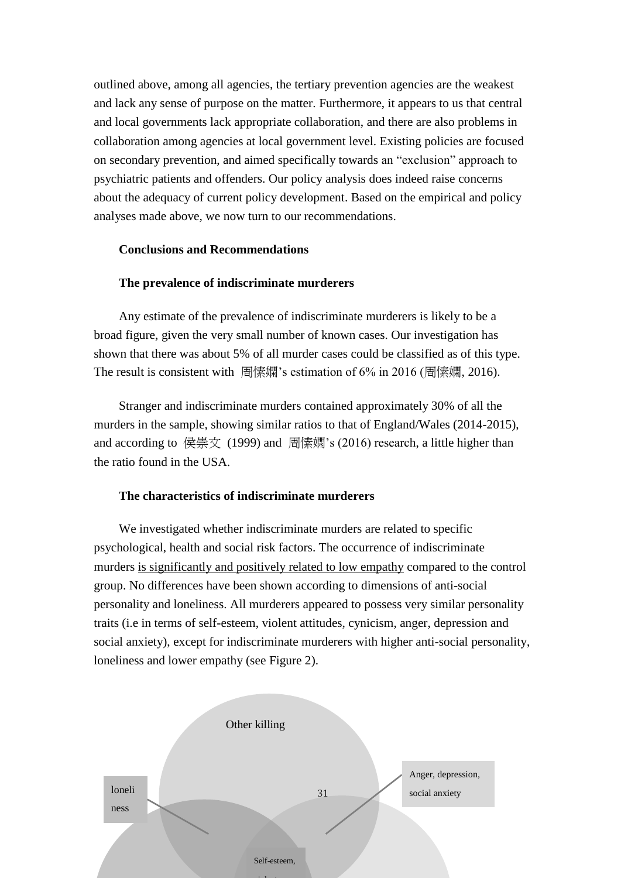outlined above, among all agencies, the tertiary prevention agencies are the weakest and lack any sense of purpose on the matter. Furthermore, it appears to us that central and local governments lack appropriate collaboration, and there are also problems in collaboration among agencies at local government level. Existing policies are focused on secondary prevention, and aimed specifically towards an "exclusion" approach to psychiatric patients and offenders. Our policy analysis does indeed raise concerns about the adequacy of current policy development. Based on the empirical and policy analyses made above, we now turn to our recommendations.

# **Conclusions and Recommendations**

# **The prevalence of indiscriminate murderers**

Any estimate of the prevalence of indiscriminate murderers is likely to be a broad figure, given the very small number of known cases. Our investigation has shown that there was about 5% of all murder cases could be classified as of this type. The result is consistent with 周愫嫻's estimation of 6% in 2016 (周愫嫻, 2016).

Stranger and indiscriminate murders contained approximately 30% of all the murders in the sample, showing similar ratios to that of England/Wales (2014-2015), and according to 侯崇文 (1999) and 周愫嫻's (2016) research, a little higher than the ratio found in the USA.

# **The characteristics of indiscriminate murderers**

We investigated whether indiscriminate murders are related to specific psychological, health and social risk factors. The occurrence of indiscriminate murders is significantly and positively related to low empathy compared to the control group. No differences have been shown according to dimensions of anti-social personality and loneliness. All murderers appeared to possess very similar personality traits (i.e in terms of self-esteem, violent attitudes, cynicism, anger, depression and social anxiety), except for indiscriminate murderers with higher anti-social personality, loneliness and lower empathy (see Figure 2).

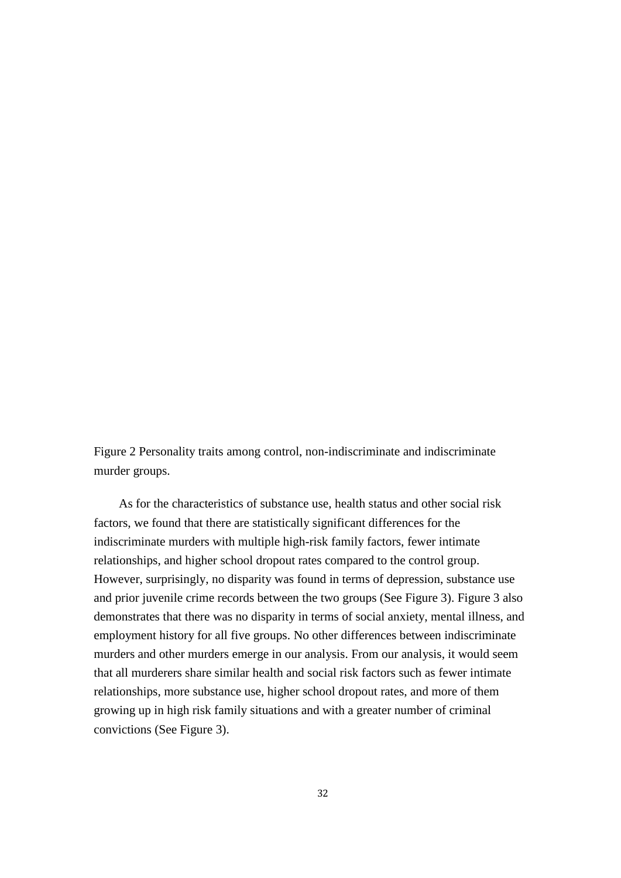Figure 2 Personality traits among control, non-indiscriminate and indiscriminate murder groups.

As for the characteristics of substance use, health status and other social risk factors, we found that there are statistically significant differences for the indiscriminate murders with multiple high-risk family factors, fewer intimate relationships, and higher school dropout rates compared to the control group. However, surprisingly, no disparity was found in terms of depression, substance use and prior juvenile crime records between the two groups (See Figure 3). Figure 3 also demonstrates that there was no disparity in terms of social anxiety, mental illness, and employment history for all five groups. No other differences between indiscriminate murders and other murders emerge in our analysis. From our analysis, it would seem that all murderers share similar health and social risk factors such as fewer intimate relationships, more substance use, higher school dropout rates, and more of them growing up in high risk family situations and with a greater number of criminal convictions (See Figure 3).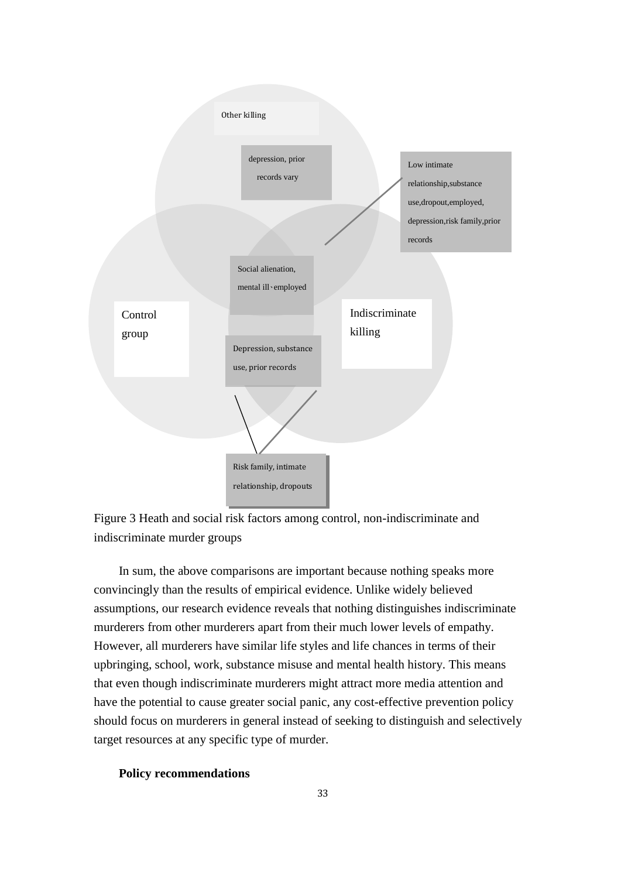



In sum, the above comparisons are important because nothing speaks more convincingly than the results of empirical evidence. Unlike widely believed assumptions, our research evidence reveals that nothing distinguishes indiscriminate murderers from other murderers apart from their much lower levels of empathy. However, all murderers have similar life styles and life chances in terms of their upbringing, school, work, substance misuse and mental health history. This means that even though indiscriminate murderers might attract more media attention and have the potential to cause greater social panic, any cost-effective prevention policy should focus on murderers in general instead of seeking to distinguish and selectively target resources at any specific type of murder.

# **Policy recommendations**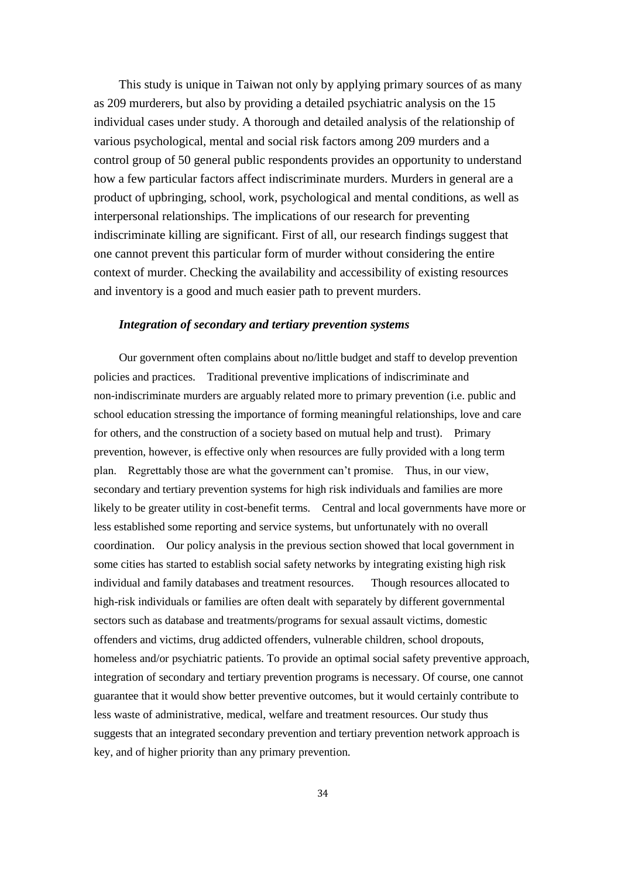This study is unique in Taiwan not only by applying primary sources of as many as 209 murderers, but also by providing a detailed psychiatric analysis on the 15 individual cases under study. A thorough and detailed analysis of the relationship of various psychological, mental and social risk factors among 209 murders and a control group of 50 general public respondents provides an opportunity to understand how a few particular factors affect indiscriminate murders. Murders in general are a product of upbringing, school, work, psychological and mental conditions, as well as interpersonal relationships. The implications of our research for preventing indiscriminate killing are significant. First of all, our research findings suggest that one cannot prevent this particular form of murder without considering the entire context of murder. Checking the availability and accessibility of existing resources and inventory is a good and much easier path to prevent murders.

# *Integration of secondary and tertiary prevention systems*

Our government often complains about no/little budget and staff to develop prevention policies and practices. Traditional preventive implications of indiscriminate and non-indiscriminate murders are arguably related more to primary prevention (i.e. public and school education stressing the importance of forming meaningful relationships, love and care for others, and the construction of a society based on mutual help and trust). Primary prevention, however, is effective only when resources are fully provided with a long term plan. Regrettably those are what the government can't promise. Thus, in our view, secondary and tertiary prevention systems for high risk individuals and families are more likely to be greater utility in cost-benefit terms. Central and local governments have more or less established some reporting and service systems, but unfortunately with no overall coordination. Our policy analysis in the previous section showed that local government in some cities has started to establish social safety networks by integrating existing high risk individual and family databases and treatment resources. Though resources allocated to high-risk individuals or families are often dealt with separately by different governmental sectors such as database and treatments/programs for sexual assault victims, domestic offenders and victims, drug addicted offenders, vulnerable children, school dropouts, homeless and/or psychiatric patients. To provide an optimal social safety preventive approach, integration of secondary and tertiary prevention programs is necessary. Of course, one cannot guarantee that it would show better preventive outcomes, but it would certainly contribute to less waste of administrative, medical, welfare and treatment resources. Our study thus suggests that an integrated secondary prevention and tertiary prevention network approach is key, and of higher priority than any primary prevention.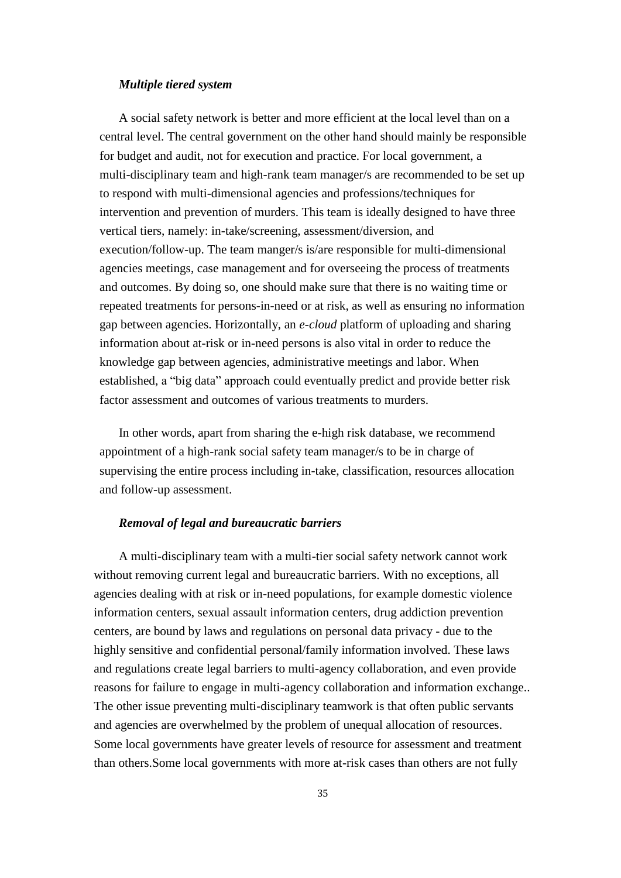# *Multiple tiered system*

A social safety network is better and more efficient at the local level than on a central level. The central government on the other hand should mainly be responsible for budget and audit, not for execution and practice. For local government, a multi-disciplinary team and high-rank team manager/s are recommended to be set up to respond with multi-dimensional agencies and professions/techniques for intervention and prevention of murders. This team is ideally designed to have three vertical tiers, namely: in-take/screening, assessment/diversion, and execution/follow-up. The team manger/s is/are responsible for multi-dimensional agencies meetings, case management and for overseeing the process of treatments and outcomes. By doing so, one should make sure that there is no waiting time or repeated treatments for persons-in-need or at risk, as well as ensuring no information gap between agencies. Horizontally, an *e-cloud* platform of uploading and sharing information about at-risk or in-need persons is also vital in order to reduce the knowledge gap between agencies, administrative meetings and labor. When established, a "big data" approach could eventually predict and provide better risk factor assessment and outcomes of various treatments to murders.

In other words, apart from sharing the e-high risk database, we recommend appointment of a high-rank social safety team manager/s to be in charge of supervising the entire process including in-take, classification, resources allocation and follow-up assessment.

# *Removal of legal and bureaucratic barriers*

A multi-disciplinary team with a multi-tier social safety network cannot work without removing current legal and bureaucratic barriers. With no exceptions, all agencies dealing with at risk or in-need populations, for example domestic violence information centers, sexual assault information centers, drug addiction prevention centers, are bound by laws and regulations on personal data privacy - due to the highly sensitive and confidential personal/family information involved. These laws and regulations create legal barriers to multi-agency collaboration, and even provide reasons for failure to engage in multi-agency collaboration and information exchange.. The other issue preventing multi-disciplinary teamwork is that often public servants and agencies are overwhelmed by the problem of unequal allocation of resources. Some local governments have greater levels of resource for assessment and treatment than others.Some local governments with more at-risk cases than others are not fully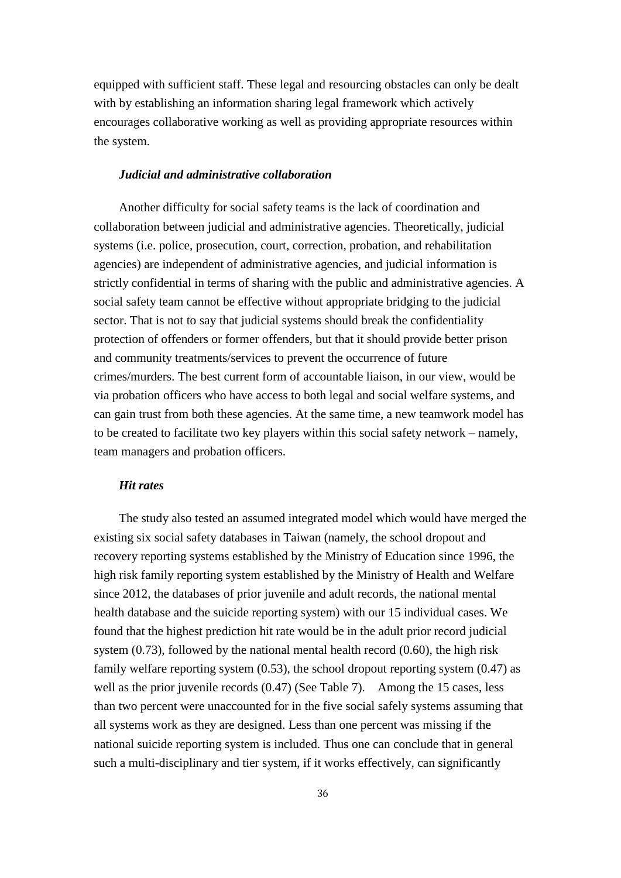equipped with sufficient staff. These legal and resourcing obstacles can only be dealt with by establishing an information sharing legal framework which actively encourages collaborative working as well as providing appropriate resources within the system.

#### *Judicial and administrative collaboration*

Another difficulty for social safety teams is the lack of coordination and collaboration between judicial and administrative agencies. Theoretically, judicial systems (i.e. police, prosecution, court, correction, probation, and rehabilitation agencies) are independent of administrative agencies, and judicial information is strictly confidential in terms of sharing with the public and administrative agencies. A social safety team cannot be effective without appropriate bridging to the judicial sector. That is not to say that judicial systems should break the confidentiality protection of offenders or former offenders, but that it should provide better prison and community treatments/services to prevent the occurrence of future crimes/murders. The best current form of accountable liaison, in our view, would be via probation officers who have access to both legal and social welfare systems, and can gain trust from both these agencies. At the same time, a new teamwork model has to be created to facilitate two key players within this social safety network – namely, team managers and probation officers.

# *Hit rates*

The study also tested an assumed integrated model which would have merged the existing six social safety databases in Taiwan (namely, the school dropout and recovery reporting systems established by the Ministry of Education since 1996, the high risk family reporting system established by the Ministry of Health and Welfare since 2012, the databases of prior juvenile and adult records, the national mental health database and the suicide reporting system) with our 15 individual cases. We found that the highest prediction hit rate would be in the adult prior record judicial system (0.73), followed by the national mental health record (0.60), the high risk family welfare reporting system (0.53), the school dropout reporting system (0.47) as well as the prior juvenile records (0.47) (See Table 7). Among the 15 cases, less than two percent were unaccounted for in the five social safely systems assuming that all systems work as they are designed. Less than one percent was missing if the national suicide reporting system is included. Thus one can conclude that in general such a multi-disciplinary and tier system, if it works effectively, can significantly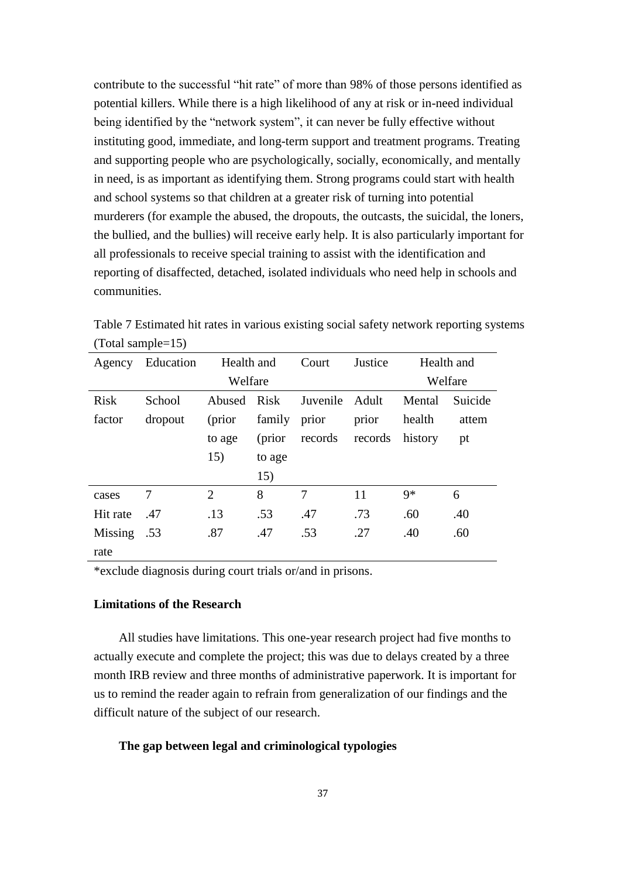contribute to the successful "hit rate" of more than 98% of those persons identified as potential killers. While there is a high likelihood of any at risk or in-need individual being identified by the "network system", it can never be fully effective without instituting good, immediate, and long-term support and treatment programs. Treating and supporting people who are psychologically, socially, economically, and mentally in need, is as important as identifying them. Strong programs could start with health and school systems so that children at a greater risk of turning into potential murderers (for example the abused, the dropouts, the outcasts, the suicidal, the loners, the bullied, and the bullies) will receive early help. It is also particularly important for all professionals to receive special training to assist with the identification and reporting of disaffected, detached, isolated individuals who need help in schools and communities.

|                     | Table 7 Estimated hit rates in various existing social safety network reporting systems |  |
|---------------------|-----------------------------------------------------------------------------------------|--|
| $(Total sample=15)$ |                                                                                         |  |

| Agency      | Education | Health and     |         | Court    | Justice         | Health and |         |
|-------------|-----------|----------------|---------|----------|-----------------|------------|---------|
|             |           | Welfare        |         |          |                 | Welfare    |         |
| <b>Risk</b> | School    | Abused Risk    |         | Juvenile | Adult           | Mental     | Suicide |
| factor      | dropout   | (prior         | family  | prior    | prior           | health     | attem   |
|             |           | to age         | (prior) | records  | records history |            | pt      |
|             |           | 15)            | to age  |          |                 |            |         |
|             |           |                | 15)     |          |                 |            |         |
| cases       | 7         | $\overline{2}$ | 8       | 7        | 11              | $9*$       | 6       |
| Hit rate    | .47       | .13            | .53     | .47      | .73             | .60        | .40     |
| Missing     | .53       | .87            | .47     | .53      | .27             | .40        | .60     |
| rate        |           |                |         |          |                 |            |         |

\*exclude diagnosis during court trials or/and in prisons.

# **Limitations of the Research**

All studies have limitations. This one-year research project had five months to actually execute and complete the project; this was due to delays created by a three month IRB review and three months of administrative paperwork. It is important for us to remind the reader again to refrain from generalization of our findings and the difficult nature of the subject of our research.

# **The gap between legal and criminological typologies**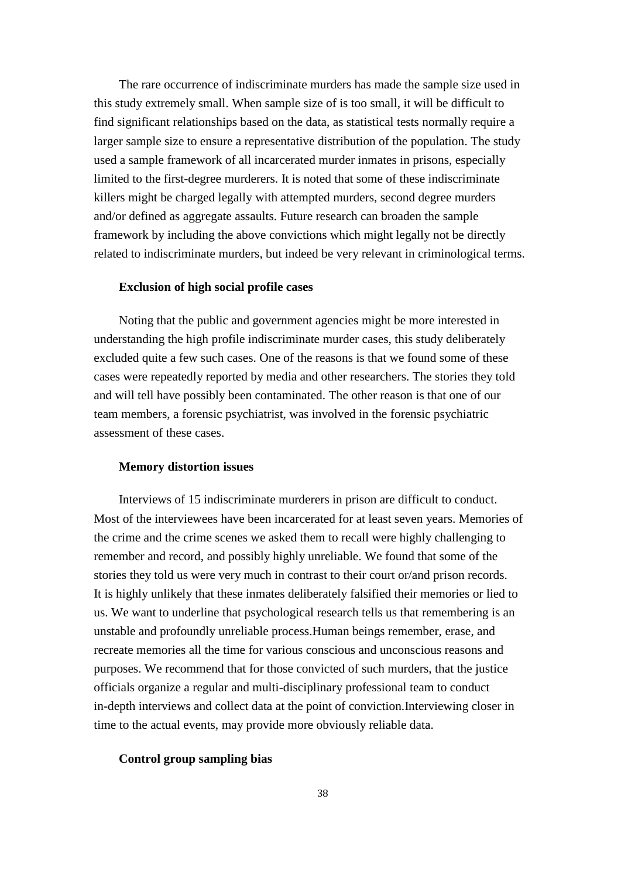The rare occurrence of indiscriminate murders has made the sample size used in this study extremely small. When sample size of is too small, it will be difficult to find significant relationships based on the data, as statistical tests normally require a larger sample size to ensure a representative distribution of the population. The study used a sample framework of all incarcerated murder inmates in prisons, especially limited to the first-degree murderers. It is noted that some of these indiscriminate killers might be charged legally with attempted murders, second degree murders and/or defined as aggregate assaults. Future research can broaden the sample framework by including the above convictions which might legally not be directly related to indiscriminate murders, but indeed be very relevant in criminological terms.

# **Exclusion of high social profile cases**

Noting that the public and government agencies might be more interested in understanding the high profile indiscriminate murder cases, this study deliberately excluded quite a few such cases. One of the reasons is that we found some of these cases were repeatedly reported by media and other researchers. The stories they told and will tell have possibly been contaminated. The other reason is that one of our team members, a forensic psychiatrist, was involved in the forensic psychiatric assessment of these cases.

#### **Memory distortion issues**

Interviews of 15 indiscriminate murderers in prison are difficult to conduct. Most of the interviewees have been incarcerated for at least seven years. Memories of the crime and the crime scenes we asked them to recall were highly challenging to remember and record, and possibly highly unreliable. We found that some of the stories they told us were very much in contrast to their court or/and prison records. It is highly unlikely that these inmates deliberately falsified their memories or lied to us. We want to underline that psychological research tells us that remembering is an unstable and profoundly unreliable process.Human beings remember, erase, and recreate memories all the time for various conscious and unconscious reasons and purposes. We recommend that for those convicted of such murders, that the justice officials organize a regular and multi-disciplinary professional team to conduct in-depth interviews and collect data at the point of conviction.Interviewing closer in time to the actual events, may provide more obviously reliable data.

#### **Control group sampling bias**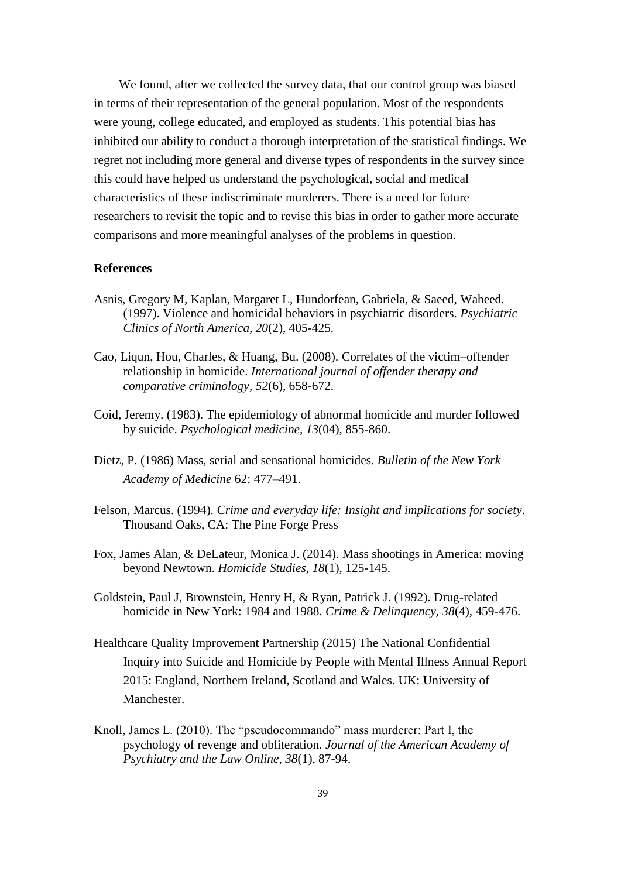We found, after we collected the survey data, that our control group was biased in terms of their representation of the general population. Most of the respondents were young, college educated, and employed as students. This potential bias has inhibited our ability to conduct a thorough interpretation of the statistical findings. We regret not including more general and diverse types of respondents in the survey since this could have helped us understand the psychological, social and medical characteristics of these indiscriminate murderers. There is a need for future researchers to revisit the topic and to revise this bias in order to gather more accurate comparisons and more meaningful analyses of the problems in question.

#### **References**

- Asnis, Gregory M, Kaplan, Margaret L, Hundorfean, Gabriela, & Saeed, Waheed. (1997). Violence and homicidal behaviors in psychiatric disorders. *Psychiatric Clinics of North America, 20*(2), 405-425.
- Cao, Liqun, Hou, Charles, & Huang, Bu. (2008). Correlates of the victim–offender relationship in homicide. *International journal of offender therapy and comparative criminology, 52*(6), 658-672.
- Coid, Jeremy. (1983). The epidemiology of abnormal homicide and murder followed by suicide. *Psychological medicine, 13*(04), 855-860.
- Dietz, P. (1986) Mass, serial and sensational homicides. *Bulletin of the New York Academy of Medicine* 62: 477–491.
- Felson, Marcus. (1994). *Crime and everyday life: Insight and implications for society*. Thousand Oaks, CA: The Pine Forge Press
- Fox, James Alan, & DeLateur, Monica J. (2014). Mass shootings in America: moving beyond Newtown. *Homicide Studies, 18*(1), 125-145.
- Goldstein, Paul J, Brownstein, Henry H, & Ryan, Patrick J. (1992). Drug-related homicide in New York: 1984 and 1988. *Crime & Delinquency, 38*(4), 459-476.
- Healthcare Quality Improvement Partnership (2015) The National Confidential Inquiry into Suicide and Homicide by People with Mental Illness Annual Report 2015: England, Northern Ireland, Scotland and Wales. UK: University of Manchester.
- Knoll, James L. (2010). The "pseudocommando" mass murderer: Part I, the psychology of revenge and obliteration. *Journal of the American Academy of Psychiatry and the Law Online, 38*(1), 87-94.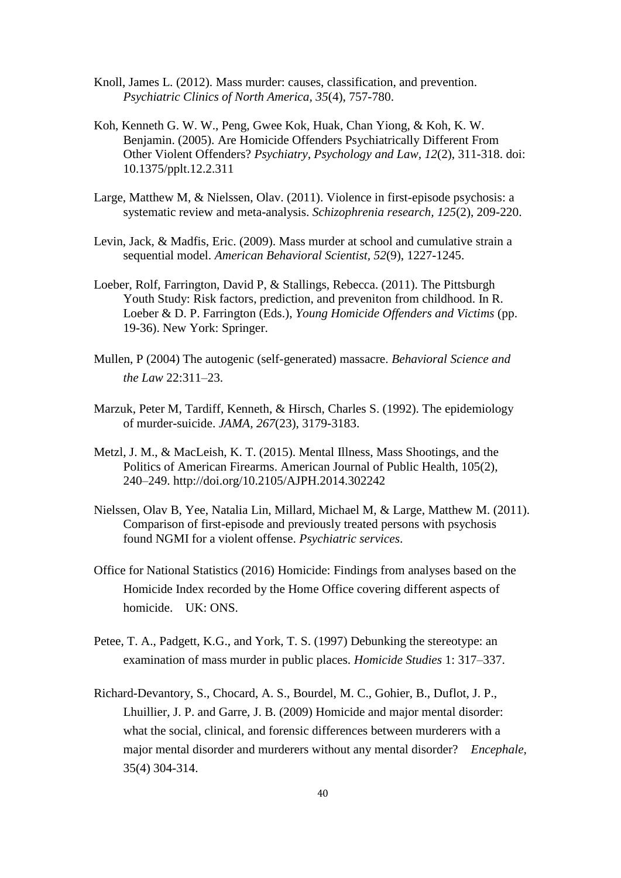- Knoll, James L. (2012). Mass murder: causes, classification, and prevention. *Psychiatric Clinics of North America, 35*(4), 757-780.
- Koh, Kenneth G. W. W., Peng, Gwee Kok, Huak, Chan Yiong, & Koh, K. W. Benjamin. (2005). Are Homicide Offenders Psychiatrically Different From Other Violent Offenders? *Psychiatry, Psychology and Law, 12*(2), 311-318. doi: 10.1375/pplt.12.2.311
- Large, Matthew M, & Nielssen, Olav. (2011). Violence in first-episode psychosis: a systematic review and meta-analysis. *Schizophrenia research, 125*(2), 209-220.
- Levin, Jack, & Madfis, Eric. (2009). Mass murder at school and cumulative strain a sequential model. *American Behavioral Scientist, 52*(9), 1227-1245.
- Loeber, Rolf, Farrington, David P, & Stallings, Rebecca. (2011). The Pittsburgh Youth Study: Risk factors, prediction, and preveniton from childhood. In R. Loeber & D. P. Farrington (Eds.), *Young Homicide Offenders and Victims* (pp. 19-36). New York: Springer.
- Mullen, P (2004) The autogenic (self-generated) massacre. *Behavioral Science and the Law* 22:311–23.
- Marzuk, Peter M, Tardiff, Kenneth, & Hirsch, Charles S. (1992). The epidemiology of murder-suicide. *JAMA, 267*(23), 3179-3183.
- Metzl, J. M., & MacLeish, K. T. (2015). Mental Illness, Mass Shootings, and the Politics of American Firearms. American Journal of Public Health, 105(2), 240–249. http://doi.org/10.2105/AJPH.2014.302242
- Nielssen, Olav B, Yee, Natalia Lin, Millard, Michael M, & Large, Matthew M. (2011). Comparison of first-episode and previously treated persons with psychosis found NGMI for a violent offense. *Psychiatric services*.
- Office for National Statistics (2016) Homicide: Findings from analyses based on the Homicide Index recorded by the Home Office covering different aspects of homicide. UK: ONS.
- Petee, T. A., Padgett, K.G., and York, T. S. (1997) Debunking the stereotype: an examination of mass murder in public places. *Homicide Studies* 1: 317–337.
- Richard-Devantory, S., Chocard, A. S., Bourdel, M. C., Gohier, B., Duflot, J. P., Lhuillier, J. P. and Garre, J. B. (2009) Homicide and major mental disorder: what the social, clinical, and forensic differences between murderers with a major mental disorder and murderers without any mental disorder? *Encephale*, 35(4) 304-314.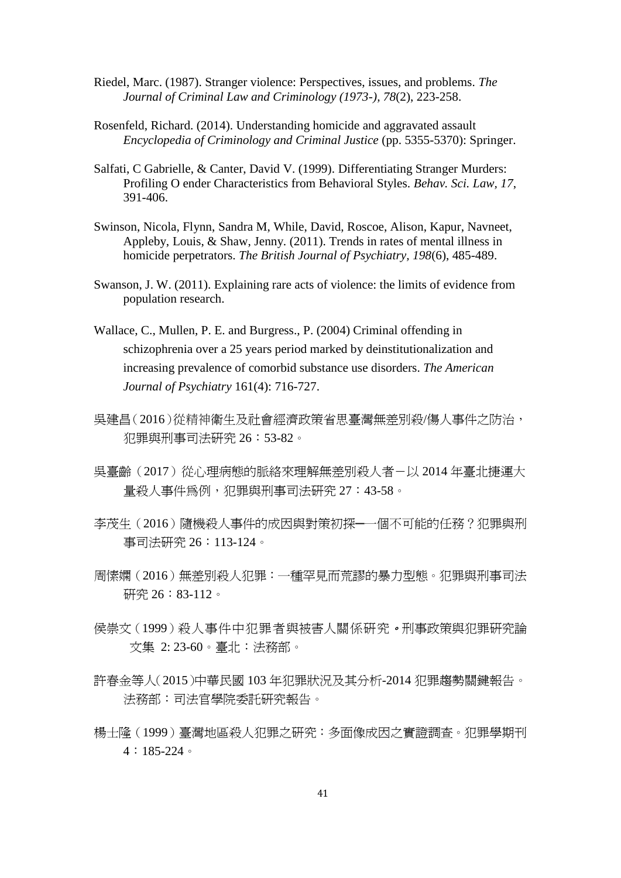- Riedel, Marc. (1987). Stranger violence: Perspectives, issues, and problems. *The Journal of Criminal Law and Criminology (1973-), 78*(2), 223-258.
- Rosenfeld, Richard. (2014). Understanding homicide and aggravated assault *Encyclopedia of Criminology and Criminal Justice* (pp. 5355-5370): Springer.
- Salfati, C Gabrielle, & Canter, David V. (1999). Differentiating Stranger Murders: Profiling O ender Characteristics from Behavioral Styles. *Behav. Sci. Law, 17*, 391-406.
- Swinson, Nicola, Flynn, Sandra M, While, David, Roscoe, Alison, Kapur, Navneet, Appleby, Louis, & Shaw, Jenny. (2011). Trends in rates of mental illness in homicide perpetrators. *The British Journal of Psychiatry, 198*(6), 485-489.
- Swanson, J. W. (2011). Explaining rare acts of violence: the limits of evidence from population research.
- Wallace, C., Mullen, P. E. and Burgress., P. (2004) Criminal offending in schizophrenia over a 25 years period marked by deinstitutionalization and increasing prevalence of comorbid substance use disorders. *The American Journal of Psychiatry* 161(4): 716-727.
- 吳建昌(2016)從精神衛生及社會經濟政策省思臺灣無差別殺/傷人事件之防治, 犯罪與刑事司法研究 26:53-82。
- 吳臺齡(2017)從心理病態的脈絡來理解無差別殺人者-以 2014 年臺北捷運大 量殺人事件為例,犯罪與刑事司法研究 27:43-58。
- 李茂生(2016)隨機殺人事件的成因與對策初探─一個不可能的任務?犯罪與刑 事司法研究 26:113-124。
- 周愫嫻(2016)無差別殺人犯罪:一種罕見而荒謬的暴力型態。犯罪與刑事司法 研究 26:83-112。
- 侯崇文(1999)殺人事件中犯罪者與被害人關係研究。刑事政策與犯罪研究論 文集 2: 23-60。臺北:法務部。
- 許春金等人(2015)中華民國 103 年犯罪狀況及其分析-2014 犯罪趨勢關鍵報告。 法務部:司法官學院委託研究報告。
- 楊士隆(1999)臺灣地區殺人犯罪之研究:多面像成因之實證調查。犯罪學期刊  $4:185-224$